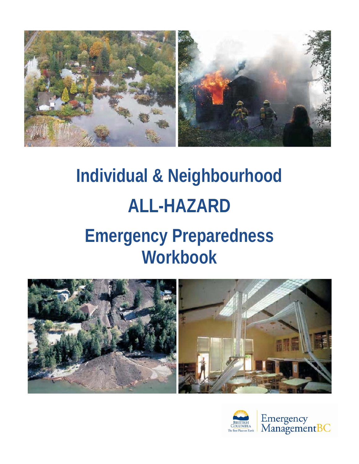

# **Individual & Neighbourhood ALL-HAZARD Emergency Preparedness Workbook**



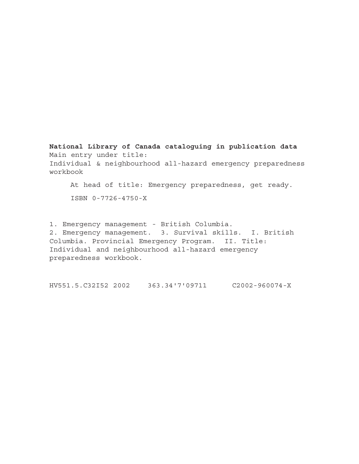**National Library of Canada cataloguing in publication data** Main entry under title: Individual & neighbourhood all-hazard emergency preparedness workbook

At head of title: Emergency preparedness, get ready. ISBN 0-7726-4750-X

1. Emergency management - British Columbia. 2. Emergency management. 3. Survival skills. I. British Columbia. Provincial Emergency Program. II. Title: Individual and neighbourhood all-hazard emergency preparedness workbook.

HV551.5.C32I52 2002 363.34'7'09711 C2002-960074-X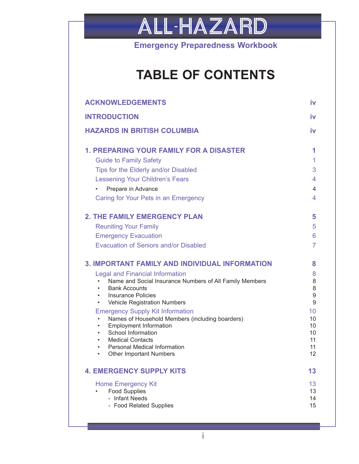

**Emergency Preparedness Workbook**

## **TABLE OF CONTENTS**

| <b>ACKNOWLEDGEMENTS</b>                                                                                                                                                                                                                                                                            | iv                               |
|----------------------------------------------------------------------------------------------------------------------------------------------------------------------------------------------------------------------------------------------------------------------------------------------------|----------------------------------|
| <b>INTRODUCTION</b>                                                                                                                                                                                                                                                                                | iv                               |
| <b>HAZARDS IN BRITISH COLUMBIA</b>                                                                                                                                                                                                                                                                 | iv                               |
| <b>1. PREPARING YOUR FAMILY FOR A DISASTER</b>                                                                                                                                                                                                                                                     | 1                                |
| <b>Guide to Family Safety</b>                                                                                                                                                                                                                                                                      | $\mathbf{1}$                     |
| Tips for the Elderly and/or Disabled                                                                                                                                                                                                                                                               | 3                                |
| <b>Lessening Your Children's Fears</b>                                                                                                                                                                                                                                                             | 4                                |
| Prepare in Advance<br>Caring for Your Pets in an Emergency                                                                                                                                                                                                                                         | 4<br>4                           |
| <b>2. THE FAMILY EMERGENCY PLAN</b>                                                                                                                                                                                                                                                                | 5                                |
| <b>Reuniting Your Family</b>                                                                                                                                                                                                                                                                       | 5                                |
| <b>Emergency Evacuation</b>                                                                                                                                                                                                                                                                        | 6                                |
| <b>Evacuation of Seniors and/or Disabled</b>                                                                                                                                                                                                                                                       | $\overline{7}$                   |
| <b>3. IMPORTANT FAMILY AND INDIVIDUAL INFORMATION</b>                                                                                                                                                                                                                                              | 8                                |
| <b>Legal and Financial Information</b><br>Name and Social Insurance Numbers of All Family Members<br><b>Bank Accounts</b><br>$\bullet$<br><b>Insurance Policies</b><br>$\bullet$<br>Vehicle Registration Numbers<br>$\bullet$                                                                      | 8<br>8<br>8<br>9<br>9            |
|                                                                                                                                                                                                                                                                                                    | 10                               |
| <b>Emergency Supply Kit Information</b><br>Names of Household Members (including boarders)<br><b>Employment Information</b><br>$\bullet$<br>School Information<br>$\bullet$<br><b>Medical Contacts</b><br>Personal Medical Information<br>$\bullet$<br><b>Other Important Numbers</b><br>$\bullet$ | 10<br>10<br>10<br>11<br>11<br>12 |
| <b>4. EMERGENCY SUPPLY KITS</b>                                                                                                                                                                                                                                                                    | 13                               |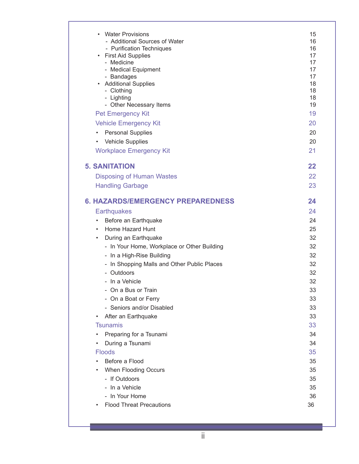| • Water Provisions<br>- Additional Sources of Water<br>- Purification Techniques<br>• First Aid Supplies<br>- Medicine<br>- Medical Equipment<br>- Bandages<br>• Additional Supplies<br>- Clothing<br>- Lighting<br>- Other Necessary Items<br><b>Pet Emergency Kit</b><br><b>Vehicle Emergency Kit</b><br><b>Personal Supplies</b><br>$\bullet$<br>Vehicle Supplies<br>$\bullet$<br><b>Workplace Emergency Kit</b> | 15<br>16<br>16<br>17<br>17<br>17<br>17<br>18<br>18<br>18<br>19<br>19<br>20<br>20<br>20<br>21 |
|---------------------------------------------------------------------------------------------------------------------------------------------------------------------------------------------------------------------------------------------------------------------------------------------------------------------------------------------------------------------------------------------------------------------|----------------------------------------------------------------------------------------------|
| <b>5. SANITATION</b>                                                                                                                                                                                                                                                                                                                                                                                                | 22                                                                                           |
|                                                                                                                                                                                                                                                                                                                                                                                                                     | 22                                                                                           |
| <b>Disposing of Human Wastes</b><br><b>Handling Garbage</b>                                                                                                                                                                                                                                                                                                                                                         | 23                                                                                           |
|                                                                                                                                                                                                                                                                                                                                                                                                                     |                                                                                              |
| <b>6. HAZARDS/EMERGENCY PREPAREDNESS</b>                                                                                                                                                                                                                                                                                                                                                                            | 24                                                                                           |
| <b>Earthquakes</b>                                                                                                                                                                                                                                                                                                                                                                                                  | 24                                                                                           |
| Before an Earthquake<br>$\bullet$                                                                                                                                                                                                                                                                                                                                                                                   | 24                                                                                           |
| Home Hazard Hunt<br>$\bullet$                                                                                                                                                                                                                                                                                                                                                                                       | 25                                                                                           |
| During an Earthquake<br>$\bullet$                                                                                                                                                                                                                                                                                                                                                                                   | 32                                                                                           |
| - In Your Home, Workplace or Other Building                                                                                                                                                                                                                                                                                                                                                                         | 32                                                                                           |
| - In a High-Rise Building                                                                                                                                                                                                                                                                                                                                                                                           | 32                                                                                           |
| - In Shopping Malls and Other Public Places                                                                                                                                                                                                                                                                                                                                                                         | 32                                                                                           |
| - Outdoors                                                                                                                                                                                                                                                                                                                                                                                                          | 32                                                                                           |
| - In a Vehicle                                                                                                                                                                                                                                                                                                                                                                                                      | 32                                                                                           |
| - On a Bus or Train                                                                                                                                                                                                                                                                                                                                                                                                 | 33                                                                                           |
| - On a Boat or Ferry                                                                                                                                                                                                                                                                                                                                                                                                | 33                                                                                           |
| - Seniors and/or Disabled                                                                                                                                                                                                                                                                                                                                                                                           | 33                                                                                           |
| After an Earthquake                                                                                                                                                                                                                                                                                                                                                                                                 | 33                                                                                           |
| <b>Tsunamis</b>                                                                                                                                                                                                                                                                                                                                                                                                     | 33                                                                                           |
| Preparing for a Tsunami                                                                                                                                                                                                                                                                                                                                                                                             | 34                                                                                           |
| During a Tsunami<br>٠                                                                                                                                                                                                                                                                                                                                                                                               | 34                                                                                           |
| <b>Floods</b>                                                                                                                                                                                                                                                                                                                                                                                                       | 35                                                                                           |
| Before a Flood                                                                                                                                                                                                                                                                                                                                                                                                      | 35                                                                                           |
| When Flooding Occurs                                                                                                                                                                                                                                                                                                                                                                                                | 35                                                                                           |
| - If Outdoors                                                                                                                                                                                                                                                                                                                                                                                                       | 35                                                                                           |
| - In a Vehicle                                                                                                                                                                                                                                                                                                                                                                                                      | 35                                                                                           |
| - In Your Home                                                                                                                                                                                                                                                                                                                                                                                                      | 36                                                                                           |
| <b>Flood Threat Precautions</b>                                                                                                                                                                                                                                                                                                                                                                                     | 36                                                                                           |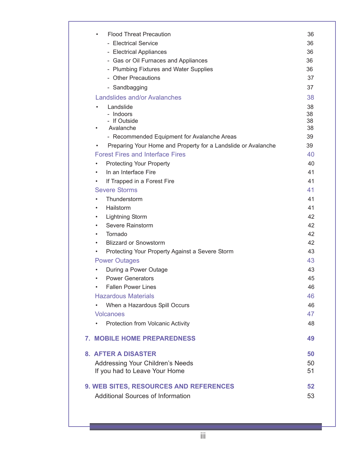| <b>Flood Threat Precaution</b><br>٠<br>- Electrical Service<br>- Electrical Appliances<br>- Gas or Oil Furnaces and Appliances<br>- Plumbing Fixtures and Water Supplies<br>- Other Precautions | 36<br>36<br>36<br>36<br>36<br>37 |
|-------------------------------------------------------------------------------------------------------------------------------------------------------------------------------------------------|----------------------------------|
| - Sandbagging                                                                                                                                                                                   | 37                               |
| Landslides and/or Avalanches                                                                                                                                                                    | 38                               |
| Landslide<br>$\bullet$<br>- Indoors<br>- If Outside<br>Avalanche                                                                                                                                | 38<br>38<br>38<br>38             |
| - Recommended Equipment for Avalanche Areas                                                                                                                                                     | 39                               |
| Preparing Your Home and Property for a Landslide or Avalanche<br>$\bullet$                                                                                                                      | 39                               |
| <b>Forest Fires and Interface Fires</b>                                                                                                                                                         | 40                               |
| <b>Protecting Your Property</b><br>٠                                                                                                                                                            | 40                               |
| In an Interface Fire<br>٠                                                                                                                                                                       | 41                               |
| If Trapped in a Forest Fire<br>٠                                                                                                                                                                | 41                               |
| <b>Severe Storms</b>                                                                                                                                                                            | 41                               |
| Thunderstorm                                                                                                                                                                                    | 41                               |
| Hailstorm<br>٠<br>$\bullet$                                                                                                                                                                     | 41<br>42                         |
| <b>Lightning Storm</b><br>Severe Rainstorm<br>٠                                                                                                                                                 | 42                               |
| Tornado<br>٠                                                                                                                                                                                    | 42                               |
| <b>Blizzard or Snowstorm</b><br>٠                                                                                                                                                               | 42                               |
| Protecting Your Property Against a Severe Storm<br>٠                                                                                                                                            | 43                               |
| <b>Power Outages</b>                                                                                                                                                                            | 43                               |
| During a Power Outage<br>٠                                                                                                                                                                      | 43                               |
| <b>Power Generators</b><br>$\bullet$                                                                                                                                                            | 45                               |
| <b>Fallen Power Lines</b>                                                                                                                                                                       | 46                               |
| <b>Hazardous Materials</b>                                                                                                                                                                      | 46                               |
| When a Hazardous Spill Occurs                                                                                                                                                                   | 46                               |
| <b>Volcanoes</b>                                                                                                                                                                                | 47                               |
| Protection from Volcanic Activity                                                                                                                                                               | 48                               |
| <b>7. MOBILE HOME PREPAREDNESS</b>                                                                                                                                                              | 49                               |
| <b>8. AFTER A DISASTER</b>                                                                                                                                                                      | 50                               |
| Addressing Your Children's Needs                                                                                                                                                                | 50                               |
| If you had to Leave Your Home                                                                                                                                                                   | 51                               |
| 9. WEB SITES, RESOURCES AND REFERENCES                                                                                                                                                          | 52                               |
| <b>Additional Sources of Information</b>                                                                                                                                                        | 53                               |
|                                                                                                                                                                                                 |                                  |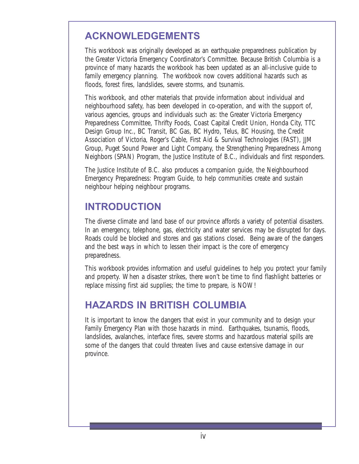## <span id="page-5-0"></span>**ACKNOWLEDGEMENTS**

This workbook was originally developed as an earthquake preparedness publication by the Greater Victoria Emergency Coordinator's Committee. Because British Columbia is a province of many hazards the workbook has been updated as an all-inclusive guide to family emergency planning. The workbook now covers additional hazards such as floods, forest fires, landslides, severe storms, and tsunamis.

This workbook, and other materials that provide information about individual and neighbourhood safety, has been developed in co-operation, and with the support of, various agencies, groups and individuals such as: the Greater Victoria Emergency Preparedness Committee, Thrifty Foods, Coast Capital Credit Union, Honda City, TTC Design Group Inc., BC Transit, BC Gas, BC Hydro, Telus, BC Housing, the Credit Association of Victoria, Roger's Cable, First Aid & Survival Technologies (FAST), JJM Group, Puget Sound Power and Light Company, the Strengthening Preparedness Among Neighbors (SPAN) Program, the Justice Institute of B.C., individuals and first responders.

The Justice Institute of B.C. also produces a companion guide, the Neighbourhood Emergency Preparedness: Program Guide, to help communities create and sustain neighbour helping neighbour programs.

## **INTRODUCTION**

The diverse climate and land base of our province affords a variety of potential disasters. In an emergency, telephone, gas, electricity and water services may be disrupted for days. Roads could be blocked and stores and gas stations closed. Being aware of the dangers and the best ways in which to lessen their impact is the core of emergency preparedness.

This workbook provides information and useful guidelines to help you protect your family and property. When a disaster strikes, there won't be time to find flashlight batteries or replace missing first aid supplies; the time to prepare, is NOW!

## **HAZARDS IN BRITISH COLUMBIA**

It is important to know the dangers that exist in your community and to design your Family Emergency Plan with those hazards in mind. Earthquakes, tsunamis, floods, landslides, avalanches, interface fires, severe storms and hazardous material spills are some of the dangers that could threaten lives and cause extensive damage in our province.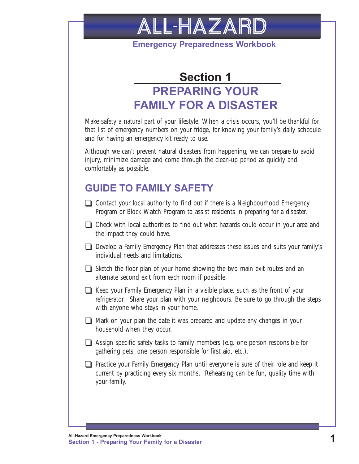<span id="page-6-0"></span>

**Emergency Preparedness Workbook**

## **Section 1 PREPARING YOUR FAMILY FOR A DISASTER**

Make safety a natural part of your lifestyle. When a crisis occurs, you'll be thankful for that list of emergency numbers on your fridge, for knowing your family's daily schedule and for having an emergency kit ready to use.

Although we can't prevent natural disasters from happening, we can prepare to avoid injury, minimize damage and come through the clean-up period as quickly and comfortably as possible.

## **GUIDE TO FAMILY SAFETY**

- $\Box$  Contact your local authority to find out if there is a Neighbourhood Emergency Program or Block Watch Program to assist residents in preparing for a disaster.
- $\Box$  Check with local authorities to find out what hazards could occur in your area and the impact they could have.
- T Develop a Family Emergency Plan that addresses these issues and suits your family's individual needs and limitations.
- $\Box$  Sketch the floor plan of your home showing the two main exit routes and an alternate second exit from each room if possible.
- T Keep your Family Emergency Plan in a visible place, such as the front of your refrigerator. Share your plan with your neighbours. Be sure to go through the steps with anyone who stays in your home.
- $\Box$  Mark on your plan the date it was prepared and update any changes in your household when they occur.
- $\Box$  Assign specific safety tasks to family members (e.g. one person responsible for gathering pets, one person responsible for first aid, etc.).
- $\Box$  Practice your Family Emergency Plan until everyone is sure of their role and keep it current by practicing every six months. Rehearsing can be fun, quality time with your family.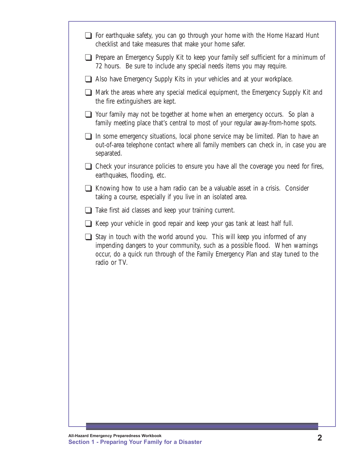- $\Box$  For earthquake safety, you can go through your home with the Home Hazard Hunt checklist and take measures that make your home safer.
- $\Box$  Prepare an Emergency Supply Kit to keep your family self sufficient for a minimum of 72 hours. Be sure to include any special needs items you may require.
- $\Box$  Also have Emergency Supply Kits in your vehicles and at your workplace.
- $\Box$  Mark the areas where any special medical equipment, the Emergency Supply Kit and the fire extinguishers are kept.
- $\Box$  Your family may not be together at home when an emergency occurs. So plan a family meeting place that's central to most of your regular away-from-home spots.
- $\Box$  In some emergency situations, local phone service may be limited. Plan to have an out-of-area telephone contact where all family members can check in, in case you are separated.
- $\Box$  Check your insurance policies to ensure you have all the coverage you need for fires, earthquakes, flooding, etc.
- $\Box$  Knowing how to use a ham radio can be a valuable asset in a crisis. Consider taking a course, especially if you live in an isolated area.
- $\Box$  Take first aid classes and keep your training current.
- $\Box$  Keep your vehicle in good repair and keep your gas tank at least half full.
- $\Box$  Stay in touch with the world around you. This will keep you informed of any impending dangers to your community, such as a possible flood. When warnings occur, do a quick run through of the Family Emergency Plan and stay tuned to the radio or TV.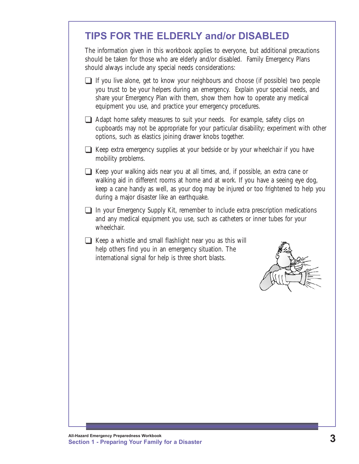## <span id="page-8-0"></span>**TIPS FOR THE ELDERLY and/or DISABLED**

The information given in this workbook applies to everyone, but additional precautions should be taken for those who are elderly and/or disabled. Family Emergency Plans should always include any special needs considerations:

- $\Box$  If you live alone, get to know your neighbours and choose (if possible) two people you trust to be your helpers during an emergency. Explain your special needs, and share your Emergency Plan with them, show them how to operate any medical equipment you use, and practice your emergency procedures.
- $\Box$  Adapt home safety measures to suit your needs. For example, safety clips on cupboards may not be appropriate for your particular disability; experiment with other options, such as elastics joining drawer knobs together.
- $\Box$  Keep extra emergency supplies at your bedside or by your wheelchair if you have mobility problems.
- $\Box$  Keep your walking aids near you at all times, and, if possible, an extra cane or walking aid in different rooms at home and at work. If you have a seeing eye dog, keep a cane handy as well, as your dog may be injured or too frightened to help you during a major disaster like an earthquake.
- $\Box$  In your Emergency Supply Kit, remember to include extra prescription medications and any medical equipment you use, such as catheters or inner tubes for your wheelchair.
- $\Box$  Keep a whistle and small flashlight near you as this will help others find you in an emergency situation. The international signal for help is three short blasts.

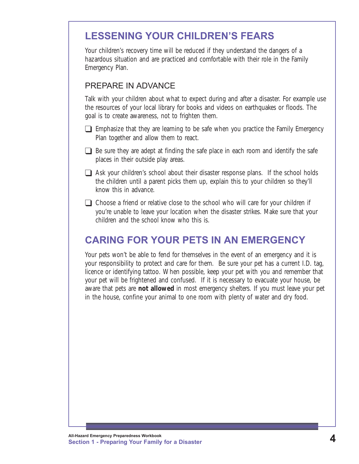## <span id="page-9-0"></span>**LESSENING YOUR CHILDREN'S FEARS**

Your children's recovery time will be reduced if they understand the dangers of a hazardous situation and are practiced and comfortable with their role in the Family Emergency Plan.

#### PREPARE IN ADVANCE

Talk with your children about what to expect during and after a disaster. For example use the resources of your local library for books and videos on earthquakes or floods. The goal is to create awareness, not to frighten them.

- $\Box$  Emphasize that they are learning to be safe when you practice the Family Emergency Plan together and allow them to react.
- $\Box$  Be sure they are adept at finding the safe place in each room and identify the safe places in their outside play areas.
- $\Box$  Ask your children's school about their disaster response plans. If the school holds the children until a parent picks them up, explain this to your children so they'll know this in advance.
- $\Box$  Choose a friend or relative close to the school who will care for your children if you're unable to leave your location when the disaster strikes. Make sure that your children and the school know who this is.

## **CARING FOR YOUR PETS IN AN EMERGENCY**

Your pets won't be able to fend for themselves in the event of an emergency and it is your responsibility to protect and care for them. Be sure your pet has a current I.D. tag, licence or identifying tattoo. When possible, keep your pet with you and remember that your pet will be frightened and confused. If it is necessary to evacuate your house, be aware that pets are **not allowed** in most emergency shelters. If you must leave your pet in the house, confine your animal to one room with plenty of water and dry food.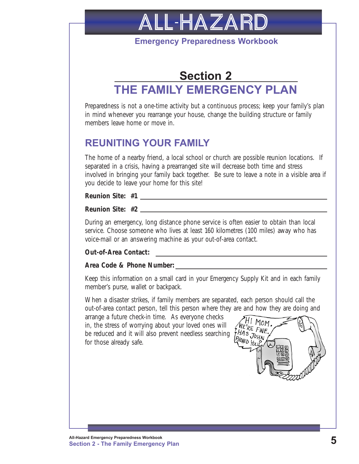

**Emergency Preparedness Workbook**

## <span id="page-10-0"></span>**Section 2 THE FAMILY EMERGENCY PLAN**

Preparedness is not a one-time activity but a continuous process; keep your family's plan in mind whenever you rearrange your house, change the building structure or family members leave home or move in.

### **REUNITING YOUR FAMILY**

The home of a nearby friend, a local school or church are possible reunion locations. If separated in a crisis, having a prearranged site will decrease both time and stress involved in bringing your family back together. Be sure to leave a note in a visible area if you decide to leave your home for this site!

**Reunion Site: #1**

**Reunion Site: #2**

During an emergency, long distance phone service is often easier to obtain than local service. Choose someone who lives at least 160 kilometres (100 miles) away who has voice-mail or an answering machine as your out-of-area contact.

**Out-of-Area Contact:**

#### **Area Code & Phone Number:**

Keep this information on a small card in your Emergency Supply Kit and in each family member's purse, wallet or backpack.

When a disaster strikes, if family members are separated, each person should call the out-of-area contact person, tell this person where they are and how they are doing and

arrange a future check-in time. As everyone checks in, the stress of worrying about your loved ones will be reduced and it will also prevent needless searching for those already safe.

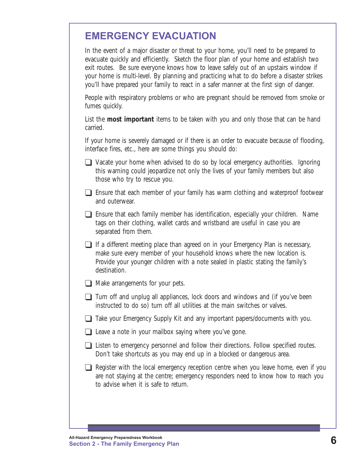## <span id="page-11-0"></span>**EMERGENCY EVACUATION**

In the event of a major disaster or threat to your home, you'll need to be prepared to evacuate quickly and efficiently. Sketch the floor plan of your home and establish two exit routes. Be sure everyone knows how to leave safely out of an upstairs window if your home is multi-level. By planning and practicing what to do before a disaster strikes you'll have prepared your family to react in a safer manner at the first sign of danger.

People with respiratory problems or who are pregnant should be removed from smoke or fumes quickly.

List the **most important** items to be taken with you and only those that can be hand carried.

If your home is severely damaged or if there is an order to evacuate because of flooding, interface fires, etc., here are some things you should do:

- $\Box$  Vacate your home when advised to do so by local emergency authorities. Ignoring this warning could jeopardize not only the lives of your family members but also those who try to rescue you.
- $\Box$  Ensure that each member of your family has warm clothing and waterproof footwear and outerwear.
- $\Box$  Ensure that each family member has identification, especially your children. Name tags on their clothing, wallet cards and wristband are useful in case you are separated from them.
- $\Box$  If a different meeting place than agreed on in your Emergency Plan is necessary, make sure every member of your household knows where the new location is. Provide your younger children with a note sealed in plastic stating the family's destination.
- $\Box$  Make arrangements for your pets.
- $\Box$  Turn off and unplug all appliances, lock doors and windows and (if you've been instructed to do so) turn off all utilities at the main switches or valves.
- $\Box$  Take your Emergency Supply Kit and any important papers/documents with you.
- $\Box$  Leave a note in your mailbox saying where you've gone.
- $\Box$  Listen to emergency personnel and follow their directions. Follow specified routes. Don't take shortcuts as you may end up in a blocked or dangerous area.
- $\Box$  Register with the local emergency reception centre when you leave home, even if you are not staying at the centre; emergency responders need to know how to reach you to advise when it is safe to return.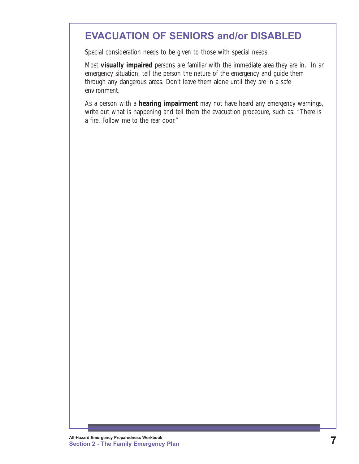## <span id="page-12-0"></span>**EVACUATION OF SENIORS and/or DISABLED**

Special consideration needs to be given to those with special needs.

Most **visually impaired** persons are familiar with the immediate area they are in. In an emergency situation, tell the person the nature of the emergency and guide them through any dangerous areas. Don't leave them alone until they are in a safe environment.

As a person with a **hearing impairment** may not have heard any emergency warnings, write out what is happening and tell them the evacuation procedure, such as: "There is a fire. Follow me to the rear door."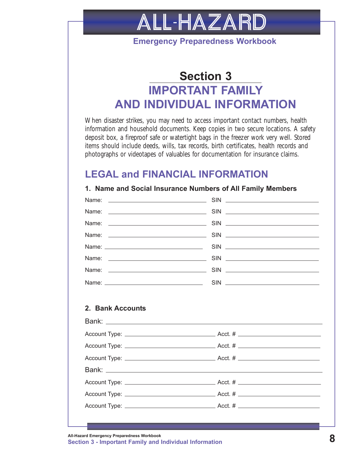<span id="page-13-0"></span>

**Emergency Preparedness Workbook**

## **Section 3 IMPORTANT FAMILY AND INDIVIDUAL INFORMATION**

When disaster strikes, you may need to access important contact numbers, health information and household documents. Keep copies in two secure locations. A safety deposit box, a fireproof safe or watertight bags in the freezer work very well. Stored items should include deeds, wills, tax records, birth certificates, health records and photographs or videotapes of valuables for documentation for insurance claims.

### **LEGAL and FINANCIAL INFORMATION**

|                  | <b>OUGHT INGHANG NAMAGEO OF AN I MINDY MUNICIPY</b> |
|------------------|-----------------------------------------------------|
| Name:            |                                                     |
| Name:            |                                                     |
|                  |                                                     |
|                  |                                                     |
|                  |                                                     |
|                  |                                                     |
|                  |                                                     |
|                  |                                                     |
|                  |                                                     |
| 2. Bank Accounts |                                                     |
|                  |                                                     |
|                  |                                                     |
|                  |                                                     |
|                  |                                                     |
|                  |                                                     |
|                  |                                                     |
|                  |                                                     |
|                  |                                                     |
|                  |                                                     |

**1. Name and Social Insurance Numbers of All Family Members**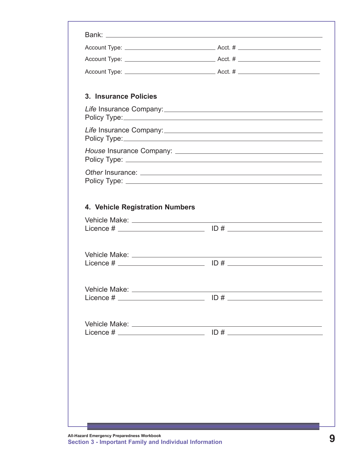| 3. Insurance Policies                                                                                                                                                                                                          |     |  |
|--------------------------------------------------------------------------------------------------------------------------------------------------------------------------------------------------------------------------------|-----|--|
|                                                                                                                                                                                                                                |     |  |
|                                                                                                                                                                                                                                |     |  |
|                                                                                                                                                                                                                                |     |  |
|                                                                                                                                                                                                                                |     |  |
| 4. Vehicle Registration Numbers                                                                                                                                                                                                |     |  |
|                                                                                                                                                                                                                                |     |  |
|                                                                                                                                                                                                                                |     |  |
|                                                                                                                                                                                                                                |     |  |
|                                                                                                                                                                                                                                |     |  |
|                                                                                                                                                                                                                                |     |  |
|                                                                                                                                                                                                                                |     |  |
|                                                                                                                                                                                                                                | ID# |  |
|                                                                                                                                                                                                                                |     |  |
| Vehicle Make: National Accounts and Accounts and Accounts and Accounts and Accounts and Accounts and Accounts and Accounts and Accounts and Accounts and Accounts and Accounts and Accounts and Accounts and Accounts and Acco |     |  |
|                                                                                                                                                                                                                                |     |  |
|                                                                                                                                                                                                                                |     |  |
|                                                                                                                                                                                                                                |     |  |
|                                                                                                                                                                                                                                |     |  |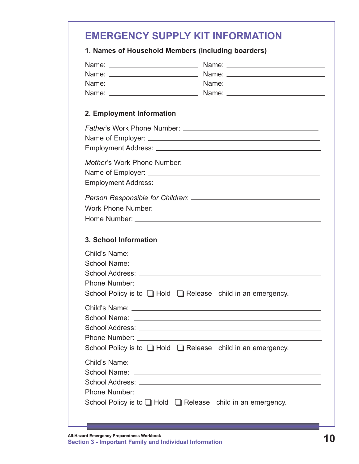### <span id="page-15-0"></span>**EMERGENCY SUPPLY KIT INFORMATION**

#### **1. Names of Household Members (including boarders)**

| 2. Employment Information                                                                                                                                                                                                            |                                                                                                                                                                                                                                                                                                               |
|--------------------------------------------------------------------------------------------------------------------------------------------------------------------------------------------------------------------------------------|---------------------------------------------------------------------------------------------------------------------------------------------------------------------------------------------------------------------------------------------------------------------------------------------------------------|
|                                                                                                                                                                                                                                      |                                                                                                                                                                                                                                                                                                               |
|                                                                                                                                                                                                                                      |                                                                                                                                                                                                                                                                                                               |
|                                                                                                                                                                                                                                      |                                                                                                                                                                                                                                                                                                               |
| 3. School Information                                                                                                                                                                                                                |                                                                                                                                                                                                                                                                                                               |
| Child's Name: <u>with the contract of the contract of the contract of the contract of the contract of the contract of the contract of the contract of the contract of the contract of the contract of the contract of the contra</u> | School Policy is to $\Box$ Hold $\Box$ Release child in an emergency.                                                                                                                                                                                                                                         |
| School Name:                                                                                                                                                                                                                         | Child's Name: <u>with the contract of the contract of the contract of the contract of the contract of the contract of the contract of the contract of the contract of the contract of the contract of the contract of the contra</u><br>School Policy is to $\Box$ Hold $\Box$ Release child in an emergency. |
| School Policy is to $\Box$ Hold $\Box$ Release child in an emergency.                                                                                                                                                                |                                                                                                                                                                                                                                                                                                               |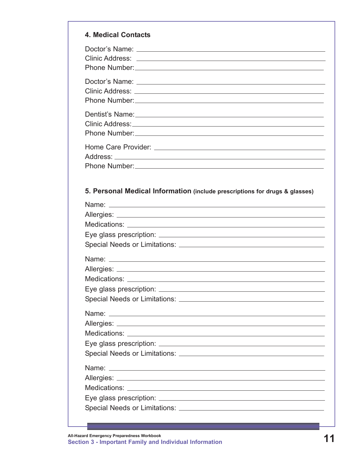| <b>4. Medical Contacts</b>                                                                                                                                                                                                                                                                                                                            |
|-------------------------------------------------------------------------------------------------------------------------------------------------------------------------------------------------------------------------------------------------------------------------------------------------------------------------------------------------------|
|                                                                                                                                                                                                                                                                                                                                                       |
|                                                                                                                                                                                                                                                                                                                                                       |
| Dentist's Name: <u>Communication</u> Control of the Control of the Control of the Control of the Control of the Control of the Control of the Control of the Control of the Control of the Control of the Control of the Control of<br>Clinic Address: No. 1996. Clinic Address: No. 1997. Clinic Address: No. 1997. 2008. 2009. 2009. 2009. 2009. 20 |
|                                                                                                                                                                                                                                                                                                                                                       |
| 5. Personal Medical Information (include prescriptions for drugs & glasses)                                                                                                                                                                                                                                                                           |
|                                                                                                                                                                                                                                                                                                                                                       |
|                                                                                                                                                                                                                                                                                                                                                       |
| Eye glass prescription: ___________                                                                                                                                                                                                                                                                                                                   |
|                                                                                                                                                                                                                                                                                                                                                       |

Medications:

Eye glass prescription: Special Needs or Limitations: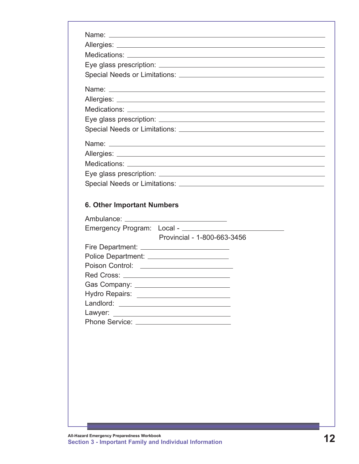| <b>6. Other Important Numbers</b> |                                                |
|-----------------------------------|------------------------------------------------|
|                                   |                                                |
|                                   |                                                |
|                                   | Provincial - 1-800-663-3456                    |
|                                   |                                                |
|                                   | Police Department: ________________________    |
|                                   | Poison Control: <u>_______________________</u> |
|                                   |                                                |

| Gas Company:          |  |
|-----------------------|--|
| Hydro Repairs:        |  |
| Landlord:             |  |
| Lawyer:               |  |
| <b>Phone Service:</b> |  |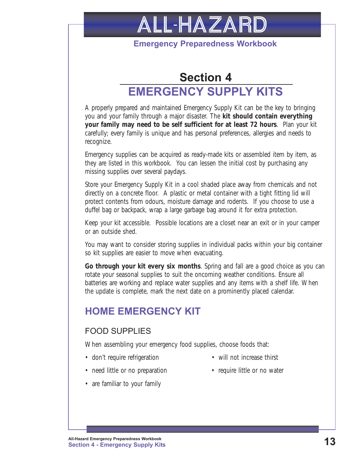<span id="page-18-0"></span>

#### **Emergency Preparedness Workbook**

## **Section 4 EMERGENCY SUPPLY KITS**

A properly prepared and maintained Emergency Supply Kit can be the key to bringing you and your family through a major disaster. The **kit should contain everything your family may need to be self sufficient for at least 72 hours**. Plan your kit carefully; every family is unique and has personal preferences, allergies and needs to recognize.

Emergency supplies can be acquired as ready-made kits or assembled item by item, as they are listed in this workbook. You can lessen the initial cost by purchasing any missing supplies over several paydays.

Store your Emergency Supply Kit in a cool shaded place away from chemicals and not directly on a concrete floor. A plastic or metal container with a tight fitting lid will protect contents from odours, moisture damage and rodents. If you choose to use a duffel bag or backpack, wrap a large garbage bag around it for extra protection.

Keep your kit accessible. Possible locations are a closet near an exit or in your camper or an outside shed.

You may want to consider storing supplies in individual packs within your big container so kit supplies are easier to move when evacuating.

**Go through your kit every six months**. Spring and fall are a good choice as you can rotate your seasonal supplies to suit the oncoming weather conditions. Ensure all batteries are working and replace water supplies and any items with a shelf life. When the update is complete, mark the next date on a prominently placed calendar.

## **HOME EMERGENCY KIT**

#### FOOD SUPPLIES

When assembling your emergency food supplies, choose foods that:

- don't require refrigeration will not increase thirst
	-
- need little or no preparation require little or no water
	-
- are familiar to your family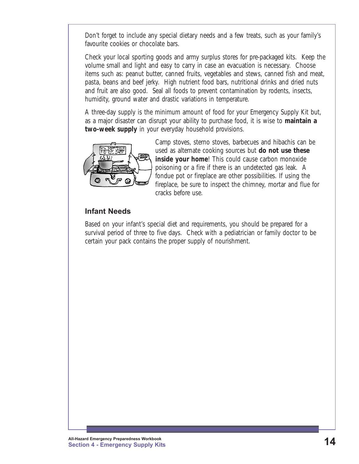Don't forget to include any special dietary needs and a few treats, such as your family's favourite cookies or chocolate bars.

Check your local sporting goods and army surplus stores for pre-packaged kits. Keep the volume small and light and easy to carry in case an evacuation is necessary. Choose items such as: peanut butter, canned fruits, vegetables and stews, canned fish and meat, pasta, beans and beef jerky. High nutrient food bars, nutritional drinks and dried nuts and fruit are also good. Seal all foods to prevent contamination by rodents, insects, humidity, ground water and drastic variations in temperature.

A three-day supply is the minimum amount of food for your Emergency Supply Kit but, as a major disaster can disrupt your ability to purchase food, it is wise to **maintain a two-week supply** in your everyday household provisions.



Camp stoves, sterno stoves, barbecues and hibachis can be used as alternate cooking sources but **do not use these inside your home!** This could cause carbon monoxide poisoning or a fire if there is an undetected gas leak. A fondue pot or fireplace are other possibilities. If using the fireplace, be sure to inspect the chimney, mortar and flue for cracks before use.

#### **Infant Needs**

Based on your infant's special diet and requirements, you should be prepared for a survival period of three to five days. Check with a pediatrician or family doctor to be certain your pack contains the proper supply of nourishment.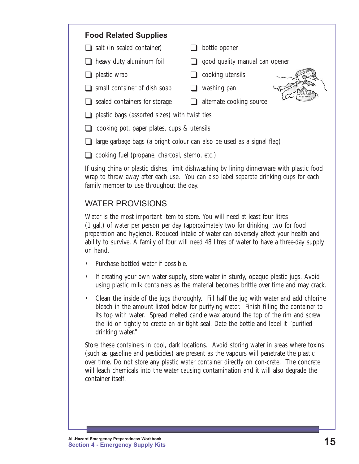#### **Food Related Supplies**

- $\Box$  salt (in sealed container)  $\Box$  bottle opener
- 
- 
- $\Box$  small container of dish soap  $\Box$  washing pan
- $\Box$  sealed containers for storage  $\Box$  alternate cooking source
- 
- $\Box$  heavy duty aluminum foil  $\Box$  good quality manual can opener
- $\Box$  plastic wrap  $\Box$  cooking utensils
	-
- 

- $\Box$  plastic bags (assorted sizes) with twist ties  $\Box$  cooking pot, paper plates, cups & utensils
- $\Box$  large garbage bags (a bright colour can also be used as a signal flag)
- $\Box$  cooking fuel (propane, charcoal, sterno, etc.)

If using china or plastic dishes, limit dishwashing by lining dinnerware with plastic food wrap to throw away after each use. You can also label separate drinking cups for each family member to use throughout the day.

#### WATER PROVISIONS

Water is the most important item to store. You will need at least four litres (1 gal.) of water per person per day (approximately two for drinking, two for food preparation and hygiene). Reduced intake of water can adversely affect your health and ability to survive. A family of four will need 48 litres of water to have a three-day supply on hand.

- Purchase bottled water if possible.
- If creating your own water supply, store water in sturdy, opaque plastic jugs. Avoid using plastic milk containers as the material becomes brittle over time and may crack.
- Clean the inside of the jugs thoroughly. Fill half the jug with water and add chlorine bleach in the amount listed below for purifying water. Finish filling the container to its top with water. Spread melted candle wax around the top of the rim and screw the lid on tightly to create an air tight seal. Date the bottle and label it "purified drinking water."

Store these containers in cool, dark locations. Avoid storing water in areas where toxins (such as gasoline and pesticides) are present as the vapours will penetrate the plastic over time. Do not store any plastic water container directly on con-crete. The concrete will leach chemicals into the water causing contamination and it will also degrade the container itself.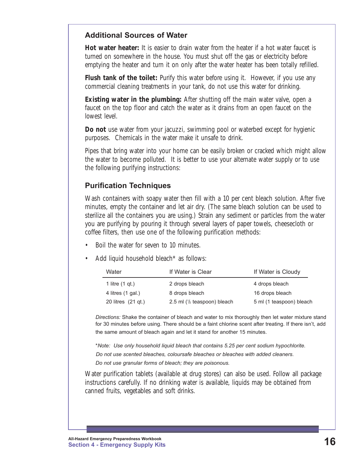#### **Additional Sources of Water**

**Hot water heater:** It is easier to drain water from the heater if a hot water faucet is turned on somewhere in the house. You must shut off the gas or electricity before emptying the heater and turn it on only after the water heater has been totally refilled.

**Flush tank of the toilet:** Purify this water before using it. However, if you use any commercial cleaning treatments in your tank, do not use this water for drinking.

**Existing water in the plumbing:** After shutting off the main water valve, open a faucet on the top floor and catch the water as it drains from an open faucet on the lowest level.

**Do not** use water from your jacuzzi, swimming pool or waterbed except for hygienic purposes. Chemicals in the water make it unsafe to drink.

Pipes that bring water into your home can be easily broken or cracked which might allow the water to become polluted. It is better to use your alternate water supply or to use the following purifying instructions:

#### **Purification Techniques**

Wash containers with soapy water then fill with a 10 per cent bleach solution. After five minutes, empty the container and let air dry. (The same bleach solution can be used to sterilize all the containers you are using.) Strain any sediment or particles from the water you are purifying by pouring it through several layers of paper towels, cheesecloth or coffee filters, then use one of the following purification methods:

- Boil the water for seven to 10 minutes.
- Add liquid household bleach\* as follows:

| Water               | If Water is Clear               | If Water is Cloudy       |
|---------------------|---------------------------------|--------------------------|
| 1 litre $(1$ gt.)   | 2 drops bleach                  | 4 drops bleach           |
| 4 litres $(1 gal.)$ | 8 drops bleach                  | 16 drops bleach          |
| 20 litres (21 gt.)  | 2.5 ml $(1/2)$ teaspoon) bleach | 5 ml (1 teaspoon) bleach |

*Directions:* Shake the container of bleach and water to mix thoroughly then let water mixture stand for 30 minutes before using. There should be a faint chlorine scent after treating. If there isn't, add the same amount of bleach again and let it stand for another 15 minutes.

\**Note: Use only household liquid bleach that contains 5.25 per cent sodium hypochlorite. Do not use scented bleaches, coloursafe bleaches or bleaches with added cleaners. Do not use granular forms of bleach; they are poisonous.* 

Water purification tablets (available at drug stores) can also be used. Follow all package instructions carefully. If no drinking water is available, liquids may be obtained from canned fruits, vegetables and soft drinks.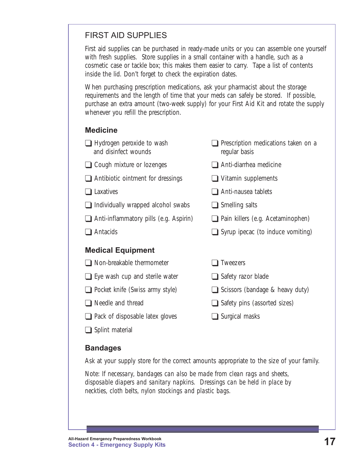#### FIRST AID SUPPLIES

First aid supplies can be purchased in ready-made units or you can assemble one yourself with fresh supplies. Store supplies in a small container with a handle, such as a cosmetic case or tackle box; this makes them easier to carry. Tape a list of contents inside the lid. Don't forget to check the expiration dates.

When purchasing prescription medications, ask your pharmacist about the storage requirements and the length of time that your meds can safely be stored. If possible, purchase an extra amount (two-week supply) for your First Aid Kit and rotate the supply whenever you refill the prescription.

#### **Medicine**

| $\Box$ Hydrogen peroxide to wash<br>and disinfect wounds | $\Box$ Prescription medications taken on a<br>regular basis |
|----------------------------------------------------------|-------------------------------------------------------------|
| $\Box$ Cough mixture or lozenges                         | Anti-diarrhea medicine                                      |
| $\Box$ Antibiotic ointment for dressings                 | $\Box$ Vitamin supplements                                  |
| $\Box$ Laxatives                                         | Anti-nausea tablets                                         |
| $\Box$ Individually wrapped alcohol swabs                | $\Box$ Smelling salts                                       |
| $\Box$ Anti-inflammatory pills (e.g. Aspirin)            | $\Box$ Pain killers (e.g. Acetaminophen)                    |
| $\Box$ Antacids                                          | $\Box$ Syrup ipecac (to induce vomiting)                    |
| <b>Medical Equipment</b>                                 |                                                             |
| $\Box$ Non-breakable thermometer                         | <b>Tweezers</b>                                             |
| $\Box$ Eye wash cup and sterile water                    | $\Box$ Safety razor blade                                   |
| $\Box$ Pocket knife (Swiss army style)                   | $\Box$ Scissors (bandage & heavy duty)                      |
| Needle and thread                                        | $\Box$ Safety pins (assorted sizes)                         |
| $\Box$ Pack of disposable latex gloves                   | Surgical masks                                              |

 $\Box$  Splint material

#### **Bandages**

Ask at your supply store for the correct amounts appropriate to the size of your family.

Note: *If necessary, bandages can also be made from clean rags and sheets, disposable diapers and sanitary napkins. Dressings can be held in place by neckties, cloth belts, nylon stockings and plastic bags.*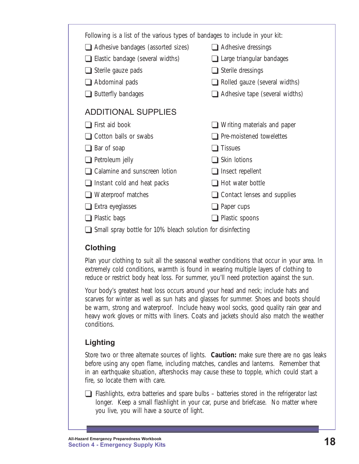| Following is a list of the various types of bandages to include in your kit: |                                      |  |
|------------------------------------------------------------------------------|--------------------------------------|--|
| $\Box$ Adhesive bandages (assorted sizes)                                    | $\Box$ Adhesive dressings            |  |
| $\Box$ Elastic bandage (several widths)                                      | $\Box$ Large triangular bandages     |  |
| $\Box$ Sterile gauze pads                                                    | $\Box$ Sterile dressings             |  |
| $\Box$ Abdominal pads                                                        | $\Box$ Rolled gauze (several widths) |  |
| $\Box$ Butterfly bandages                                                    | Adhesive tape (several widths)       |  |
| <b>ADDITIONAL SUPPLIES</b>                                                   |                                      |  |
| $\Box$ First aid book                                                        | <b>■</b> Writing materials and paper |  |
| <b>■</b> Cotton balls or swabs                                               | <b>Pre-moistened towelettes</b>      |  |
| $\Box$ Bar of soap                                                           | <b>Tissues</b>                       |  |
| $\Box$ Petroleum jelly                                                       | $\Box$ Skin lotions                  |  |
| □ Calamine and sunscreen lotion                                              | $\Box$ Insect repellent              |  |
| $\Box$ Instant cold and heat packs                                           | Hot water bottle                     |  |
| $\Box$ Waterproof matches                                                    | Contact lenses and supplies          |  |
| $\Box$ Extra eyeglasses                                                      | $\Box$ Paper cups                    |  |
| Plastic bags                                                                 | Plastic spoons                       |  |
|                                                                              |                                      |  |

 $\Box$  Small spray bottle for 10% bleach solution for disinfecting

#### **Clothing**

Plan your clothing to suit all the seasonal weather conditions that occur in your area. In extremely cold conditions, warmth is found in wearing multiple layers of clothing to reduce or restrict body heat loss. For summer, you'll need protection against the sun.

Your body's greatest heat loss occurs around your head and neck; include hats and scarves for winter as well as sun hats and glasses for summer. Shoes and boots should be warm, strong and waterproof. Include heavy wool socks, good quality rain gear and heavy work gloves or mitts with liners. Coats and jackets should also match the weather conditions.

### **Lighting**

Store two or three alternate sources of lights. **Caution:** make sure there are no gas leaks before using any open flame, including matches, candles and lanterns. Remember that in an earthquake situation, aftershocks may cause these to topple, which could start a fire, so locate them with care.

 $\Box$  Flashlights, extra batteries and spare bulbs – batteries stored in the refrigerator last longer. Keep a small flashlight in your car, purse and briefcase. No matter where you live, you will have a source of light.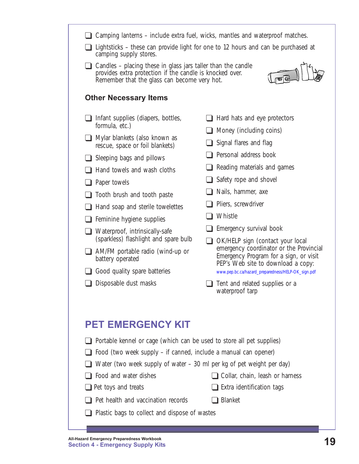<span id="page-24-0"></span>

|                                                                                                                                                                                                                   | Camping lanterns – include extra fuel, wicks, mantles and waterproof matches.                                           |  |  |
|-------------------------------------------------------------------------------------------------------------------------------------------------------------------------------------------------------------------|-------------------------------------------------------------------------------------------------------------------------|--|--|
| $\Box$ Lightsticks – these can provide light for one to 12 hours and can be purchased at<br>camping supply stores.                                                                                                |                                                                                                                         |  |  |
| $\Box$ Candles – placing these in glass jars taller than the candle<br>provides extra protection if the candle is knocked over.<br>Remember that the glass can become very hot.                                   |                                                                                                                         |  |  |
| <b>Other Necessary Items</b>                                                                                                                                                                                      |                                                                                                                         |  |  |
| Infant supplies (diapers, bottles,<br>formula, etc.)                                                                                                                                                              | Hard hats and eye protectors                                                                                            |  |  |
| Mylar blankets (also known as<br>rescue, space or foil blankets)                                                                                                                                                  | Money (including coins)<br>Signal flares and flag                                                                       |  |  |
| Sleeping bags and pillows                                                                                                                                                                                         | Personal address book                                                                                                   |  |  |
| Hand towels and wash cloths                                                                                                                                                                                       | Reading materials and games                                                                                             |  |  |
| Paper towels                                                                                                                                                                                                      | Safety rope and shovel                                                                                                  |  |  |
| Tooth brush and tooth paste                                                                                                                                                                                       | Nails, hammer, axe                                                                                                      |  |  |
| Hand soap and sterile towelettes                                                                                                                                                                                  | Pliers, screwdriver                                                                                                     |  |  |
| Feminine hygiene supplies                                                                                                                                                                                         | Whistle                                                                                                                 |  |  |
| Waterproof, intrinsically-safe<br>(sparkless) flashlight and spare bulb                                                                                                                                           | Emergency survival book<br>OK/HELP sign (contact your local                                                             |  |  |
| AM/FM portable radio (wind-up or<br>battery operated                                                                                                                                                              | emergency coordinator or the Provincial<br>Emergency Program for a sign, or visit<br>PEP's Web site to download a copy: |  |  |
| Good quality spare batteries                                                                                                                                                                                      | www.pep.bc.ca/hazard_preparedness/HELP-OK_sign.pdf                                                                      |  |  |
| Disposable dust masks                                                                                                                                                                                             | Tent and related supplies or a<br>waterproof tarp                                                                       |  |  |
|                                                                                                                                                                                                                   |                                                                                                                         |  |  |
| <b>PET EMERGENCY KIT</b>                                                                                                                                                                                          |                                                                                                                         |  |  |
| Portable kennel or cage (which can be used to store all pet supplies)<br>Food (two week supply – if canned, include a manual can opener)<br>Water (two week supply of water – 30 ml per kg of pet weight per day) |                                                                                                                         |  |  |
| Food and water dishes                                                                                                                                                                                             | Collar, chain, leash or harness                                                                                         |  |  |
| Pet toys and treats                                                                                                                                                                                               | Extra identification tags                                                                                               |  |  |
| Pet health and vaccination records                                                                                                                                                                                | <b>Blanket</b>                                                                                                          |  |  |
| Plastic bags to collect and dispose of wastes                                                                                                                                                                     |                                                                                                                         |  |  |
|                                                                                                                                                                                                                   |                                                                                                                         |  |  |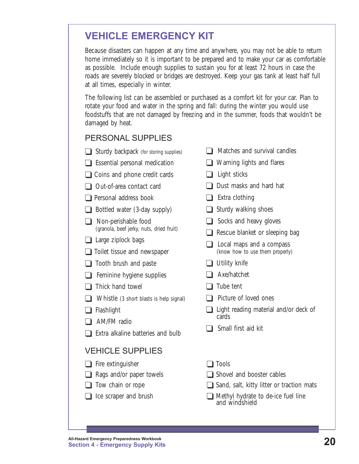## <span id="page-25-0"></span>**VEHICLE EMERGENCY KIT**

Because disasters can happen at any time and anywhere, you may not be able to return home immediately so it is important to be prepared and to make your car as comfortable as possible. Include enough supplies to sustain you for at least 72 hours in case the roads are severely blocked or bridges are destroyed. Keep your gas tank at least half full at all times, especially in winter.

The following list can be assembled or purchased as a comfort kit for your car. Plan to rotate your food and water in the spring and fall: during the winter you would use foodstuffs that are not damaged by freezing and in the summer, foods that wouldn't be damaged by heat.

#### PERSONAL SUPPLIES

- $\Box$  Sturdy backpack (for storing supplies)
- $\Box$  Essential personal medication
- $\Box$  Coins and phone credit cards
- $\Box$  Out-of-area contact card
- $\Box$  Personal address book
- $\Box$  Bottled water (3-day supply)
- $\Box$  Non-perishable food (granola, beef jerky, nuts, dried fruit)
- $\Box$  Large ziplock bags
- $\Box$  Toilet tissue and newspaper
- $\Box$  Tooth brush and paste
- $\Box$  Feminine hygiene supplies
- $\Box$  Thick hand towel
- $\Box$  Whistle (3 short blasts is help signal)
- $\Box$  Flashlight
- $\Box$  AM/FM radio
- $\Box$  Extra alkaline batteries and bulb

#### VEHICLE SUPPLIES

- The extinguisher Tools
- 
- 
- 
- $\Box$  Matches and survival candles
- $\Box$  Warning lights and flares
- $\Box$  Light sticks
- $\Box$  Dust masks and hard hat
- $\Box$  Extra clothing
- $\Box$  Sturdy walking shoes
- $\Box$  Socks and heavy gloves
- $\Box$  Rescue blanket or sleeping bag
- $\Box$  Local maps and a compass (know how to use them properly)
- $\Box$  Utility knife
- $\Box$  Axe/hatchet
- $\Box$  Tube tent
- $\Box$  Picture of loved ones
- $\Box$  Light reading material and/or deck of cards
- $\Box$  Small first aid kit
- 
- $\Box$  Rags and/or paper towels  $\Box$  Shovel and booster cables
- $\Box$  Tow chain or rope  $\Box$  Sand, salt, kitty litter or traction mats
- $\Box$  Ice scraper and brush  $\Box$  Methyl hydrate to de-ice fuel line and windshield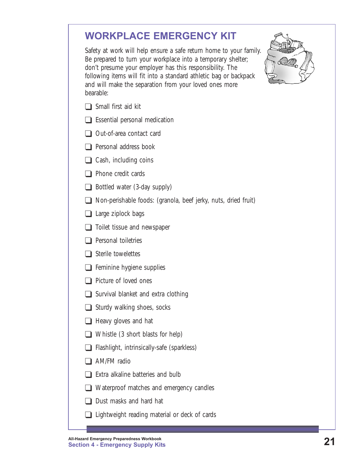## <span id="page-26-0"></span>**WORKPLACE EMERGENCY KIT**

Safety at work will help ensure a safe return home to your family. Be prepared to turn your workplace into a temporary shelter; don't presume your employer has this responsibility. The following items will fit into a standard athletic bag or backpack and will make the separation from your loved ones more bearable:



- $\Box$  Small first aid kit
- $\Box$  Essential personal medication
- $\Box$  Out-of-area contact card
- $\Box$  Personal address book
- $\Box$  Cash, including coins
- $\Box$  Phone credit cards
- $\Box$  Bottled water (3-day supply)
- $\Box$  Non-perishable foods: (granola, beef jerky, nuts, dried fruit)
- $\Box$  Large ziplock bags
- $\Box$  Toilet tissue and newspaper
- $\Box$  Personal toiletries
- $\Box$  Sterile towelettes
- $\Box$  Feminine hygiene supplies
- $\Box$  Picture of loved ones
- $\Box$  Survival blanket and extra clothing
- $\Box$  Sturdy walking shoes, socks
- $\Box$  Heavy gloves and hat
- $\Box$  Whistle (3 short blasts for help)
- $\Box$  Flashlight, intrinsically-safe (sparkless)
- $\Box$  AM/FM radio
- $\Box$  Extra alkaline batteries and bulb
- $\Box$  Waterproof matches and emergency candles
- $\Box$  Dust masks and hard hat
- $\Box$  Lightweight reading material or deck of cards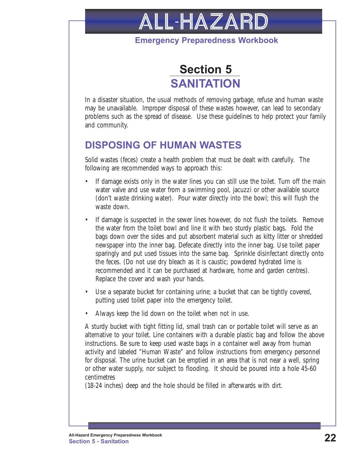

#### **Emergency Preparedness Workbook**



<span id="page-27-0"></span>In a disaster situation, the usual methods of removing garbage, refuse and human waste may be unavailable. Improper disposal of these wastes however, can lead to secondary problems such as the spread of disease. Use these guidelines to help protect your family and community.

### **DISPOSING OF HUMAN WASTES**

Solid wastes (feces) create a health problem that must be dealt with carefully. The following are recommended ways to approach this:

- If damage exists only in the water lines you can still use the toilet. Turn off the main water valve and use water from a swimming pool, jacuzzi or other available source (don't waste drinking water). Pour water directly into the bowl; this will flush the waste down.
- If damage is suspected in the sewer lines however, do not flush the toilets. Remove the water from the toilet bowl and line it with two sturdy plastic bags. Fold the bags down over the sides and put absorbent material such as kitty litter or shredded newspaper into the inner bag. Defecate directly into the inner bag. Use toilet paper sparingly and put used tissues into the same bag. Sprinkle disinfectant directly onto the feces. (Do not use dry bleach as it is caustic; powdered hydrated lime is recommended and it can be purchased at hardware, home and garden centres). Replace the cover and wash your hands.
- Use a separate bucket for containing urine; a bucket that can be tightly covered, putting used toilet paper into the emergency toilet.
- Always keep the lid down on the toilet when not in use.

A sturdy bucket with tight fitting lid, small trash can or portable toilet will serve as an alternative to your toilet. Line containers with a durable plastic bag and follow the above instructions. Be sure to keep used waste bags in a container well away from human activity and labeled "Human Waste" and follow instructions from emergency personnel for disposal. The urine bucket can be emptied in an area that is not near a well, spring or other water supply, nor subject to flooding. It should be poured into a hole 45-60 centimetres

(18-24 inches) deep and the hole should be filled in afterwards with dirt.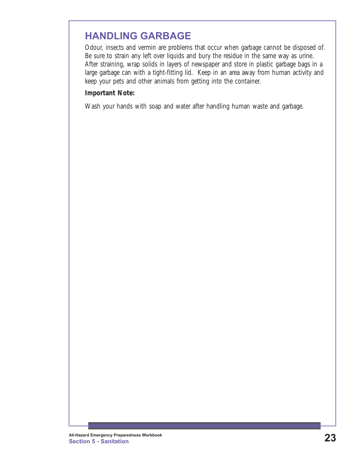### <span id="page-28-0"></span>**HANDLING GARBAGE**

Odour, insects and vermin are problems that occur when garbage cannot be disposed of. Be sure to strain any left over liquids and bury the residue in the same way as urine. After straining, wrap solids in layers of newspaper and store in plastic garbage bags in a large garbage can with a tight-fitting lid. Keep in an area away from human activity and keep your pets and other animals from getting into the container.

#### **Important Note:**

Wash your hands with soap and water after handling human waste and garbage.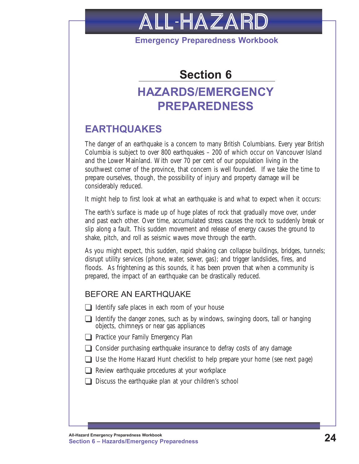<span id="page-29-0"></span>

**Emergency Preparedness Workbook**

## **Section 6**

## **HAZARDS/EMERGENCY PREPAREDNESS**

## **EARTHQUAKES**

The danger of an earthquake is a concern to many British Columbians. Every year British Columbia is subject to over 800 earthquakes – 200 of which occur on Vancouver Island and the Lower Mainland. With over 70 per cent of our population living in the southwest corner of the province, that concern is well founded. If we take the time to prepare ourselves, though, the possibility of injury and property damage will be considerably reduced.

It might help to first look at what an earthquake is and what to expect when it occurs:

The earth's surface is made up of huge plates of rock that gradually move over, under and past each other. Over time, accumulated stress causes the rock to suddenly break or slip along a fault. This sudden movement and release of energy causes the ground to shake, pitch, and roll as seismic waves move through the earth.

As you might expect, this sudden, rapid shaking can collapse buildings, bridges, tunnels; disrupt utility services (phone, water, sewer, gas); and trigger landslides, fires, and floods. As frightening as this sounds, it has been proven that when a community is prepared, the impact of an earthquake can be drastically reduced.

#### BEFORE AN EARTHQUAKE

- $\Box$  Identify safe places in each room of your house
- $\Box$  Identify the danger zones, such as by windows, swinging doors, tall or hanging objects, chimneys or near gas appliances
- $\Box$  Practice your Family Emergency Plan
- $\Box$  Consider purchasing earthquake insurance to defray costs of any damage
- T Use the Home Hazard Hunt checklist to help prepare your home (*see next page*)
- $\Box$  Review earthquake procedures at your workplace
- $\Box$  Discuss the earthquake plan at your children's school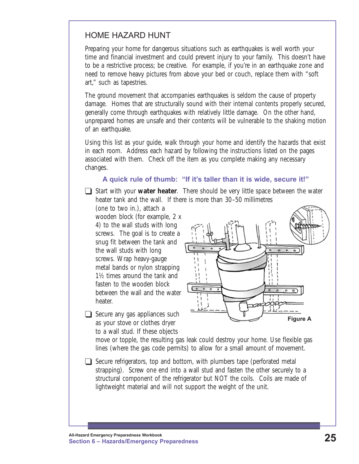#### HOME HAZARD HUNT

Preparing your home for dangerous situations such as earthquakes is well worth your time and financial investment and could prevent injury to your family. This doesn't have to be a restrictive process; be creative. For example, if you're in an earthquake zone and need to remove heavy pictures from above your bed or couch, replace them with "soft art," such as tapestries.

The ground movement that accompanies earthquakes is seldom the cause of property damage. Homes that are structurally sound with their internal contents properly secured, generally come through earthquakes with relatively little damage. On the other hand, unprepared homes are unsafe and their contents will be vulnerable to the shaking motion of an earthquake.

Using this list as your guide, walk through your home and identify the hazards that exist in each room. Address each hazard by following the instructions listed on the pages associated with them. Check off the item as you complete making any necessary changes.

#### **A quick rule of thumb: "If it's taller than it is wide, secure it!"**

**T** Start with your **water heater**. There should be very little space between the water heater tank and the wall. If there is more than 30–50 millimetres

(one to two in.), attach a wooden block (for example, 2 x 4) to the wall studs with long screws. The goal is to create a snug fit between the tank and the wall studs with long screws. Wrap heavy-gauge metal bands or nylon strapping 1½ times around the tank and fasten to the wooden block between the wall and the water heater.



 $\Box$  Secure any gas appliances such as your stove or clothes dryer to a wall stud. If these objects

> move or topple, the resulting gas leak could destroy your home. Use flexible gas lines (where the gas code permits) to allow for a small amount of movement.

 $\Box$  Secure refrigerators, top and bottom, with plumbers tape (perforated metal strapping). Screw one end into a wall stud and fasten the other securely to a structural component of the refrigerator but NOT the coils. Coils are made of lightweight material and will not support the weight of the unit.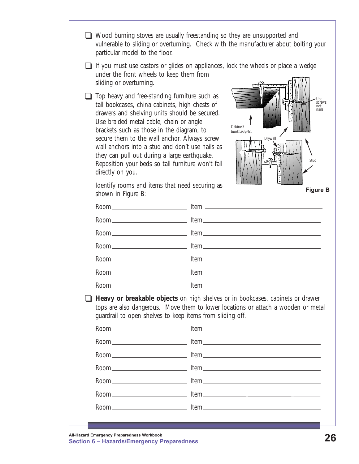- T Wood burning stoves are usually freestanding so they are unsupported and vulnerable to sliding or overturning. Check with the manufacturer about bolting your particular model to the floor.
- $\Box$  If you must use castors or glides on appliances, lock the wheels or place a wedge under the front wheels to keep them from sliding or overturning.
- $\Box$  Top heavy and free-standing furniture such as tall bookcases, china cabinets, high chests of drawers and shelving units should be secured. Use braided metal cable, chain or angle brackets such as those in the diagram, to secure them to the wall anchor. Always screw wall anchors into a stud and don't use nails as they can pull out during a large earthquake. Reposition your beds so tall furniture won't fall directly on you.



Identify rooms and items that need securing as shown in Figure B:

**Figure B**

| $\blacksquare$ | quardrail to open shelves to keep items from sliding off. | Heavy or breakable objects on high shelves or in bookcases, cabinets or drawer<br>tops are also dangerous. Move them to lower locations or attach a wooden or metal |
|----------------|-----------------------------------------------------------|---------------------------------------------------------------------------------------------------------------------------------------------------------------------|
|                |                                                           |                                                                                                                                                                     |
|                |                                                           |                                                                                                                                                                     |
|                |                                                           |                                                                                                                                                                     |
|                |                                                           |                                                                                                                                                                     |
|                |                                                           |                                                                                                                                                                     |
|                |                                                           |                                                                                                                                                                     |
|                |                                                           |                                                                                                                                                                     |
|                |                                                           |                                                                                                                                                                     |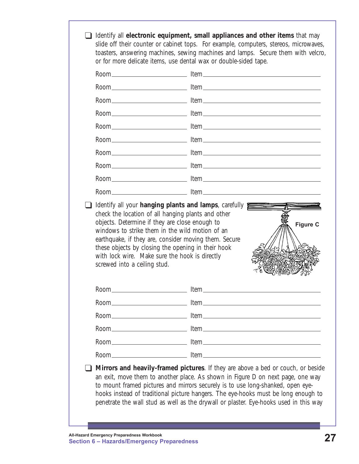|                              | Room and the lifem the state of the state of the state of the state of the state of the state of the state of the state of the state of the state of the state of the state of the state of the state of the state of the stat                                                                                                                     |
|------------------------------|----------------------------------------------------------------------------------------------------------------------------------------------------------------------------------------------------------------------------------------------------------------------------------------------------------------------------------------------------|
|                              | Identify all your hanging plants and lamps, carefully<br>check the location of all hanging plants and other<br>objects. Determine if they are close enough to<br><b>Figure C</b><br>windows to strike them in the wild motion of an<br>earthquake, if they are, consider moving them. Secure<br>these objects by closing the opening in their hook |
| screwed into a ceiling stud. | with lock wire. Make sure the hook is directly                                                                                                                                                                                                                                                                                                     |
| Room                         | Item                                                                                                                                                                                                                                                                                                                                               |
|                              |                                                                                                                                                                                                                                                                                                                                                    |
|                              |                                                                                                                                                                                                                                                                                                                                                    |
|                              |                                                                                                                                                                                                                                                                                                                                                    |
|                              |                                                                                                                                                                                                                                                                                                                                                    |
|                              |                                                                                                                                                                                                                                                                                                                                                    |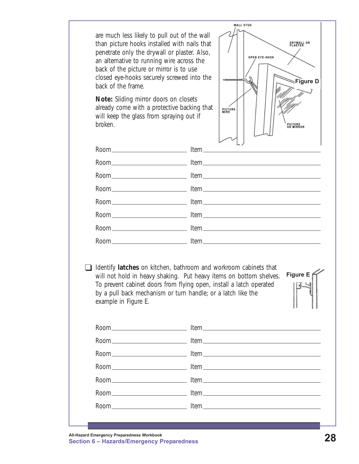are much less likely to pull out of the wall than picture hooks installed with nails that penetrate only the drywall or plaster. Also, an alternative to running wire across the back of the picture or mirror is to use closed eye-hooks securely screwed into the back of the frame.

**Note:** Sliding mirror doors on closets already come with a protective backing that will keep the glass from spraying out if broken.



T Identify **latches** on kitchen, bathroom and workroom cabinets that will not hold in heavy shaking. Put heavy items on bottom shelves. To prevent cabinet doors from flying open, install a latch operated by a pull back mechanism or turn handle; or a latch like the example in Figure E.

**Figure E**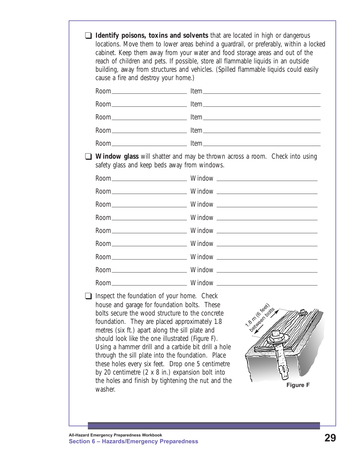| safety glass and keep beds away from windows.<br>Inspect the foundation of your home. Check<br>house and garage for foundation bolts. These<br>bolts secure the wood structure to the concrete<br>foundation. They are placed approximately 1.8<br>metres (six ft.) apart along the sill plate and<br>should look like the one illustrated (Figure F).<br>Using a hammer drill and a carbide bit drill a hole<br>through the sill plate into the foundation. Place<br>these holes every six feet. Drop one 5 centimetre | <b>Identify poisons, toxins and solvents</b> that are located in high or dangerous<br>locations. Move them to lower areas behind a guardrail, or preferably, within a locked<br>cabinet. Keep them away from your water and food storage areas and out of the<br>reach of children and pets. If possible, store all flammable liquids in an outside<br>building, away from structures and vehicles. (Spilled flammable liquids could easily<br>cause a fire and destroy your home.) |  |                                                                             |
|-------------------------------------------------------------------------------------------------------------------------------------------------------------------------------------------------------------------------------------------------------------------------------------------------------------------------------------------------------------------------------------------------------------------------------------------------------------------------------------------------------------------------|-------------------------------------------------------------------------------------------------------------------------------------------------------------------------------------------------------------------------------------------------------------------------------------------------------------------------------------------------------------------------------------------------------------------------------------------------------------------------------------|--|-----------------------------------------------------------------------------|
|                                                                                                                                                                                                                                                                                                                                                                                                                                                                                                                         |                                                                                                                                                                                                                                                                                                                                                                                                                                                                                     |  |                                                                             |
|                                                                                                                                                                                                                                                                                                                                                                                                                                                                                                                         |                                                                                                                                                                                                                                                                                                                                                                                                                                                                                     |  |                                                                             |
|                                                                                                                                                                                                                                                                                                                                                                                                                                                                                                                         |                                                                                                                                                                                                                                                                                                                                                                                                                                                                                     |  |                                                                             |
|                                                                                                                                                                                                                                                                                                                                                                                                                                                                                                                         |                                                                                                                                                                                                                                                                                                                                                                                                                                                                                     |  |                                                                             |
|                                                                                                                                                                                                                                                                                                                                                                                                                                                                                                                         |                                                                                                                                                                                                                                                                                                                                                                                                                                                                                     |  |                                                                             |
|                                                                                                                                                                                                                                                                                                                                                                                                                                                                                                                         |                                                                                                                                                                                                                                                                                                                                                                                                                                                                                     |  | Window glass will shatter and may be thrown across a room. Check into using |
|                                                                                                                                                                                                                                                                                                                                                                                                                                                                                                                         |                                                                                                                                                                                                                                                                                                                                                                                                                                                                                     |  |                                                                             |
|                                                                                                                                                                                                                                                                                                                                                                                                                                                                                                                         |                                                                                                                                                                                                                                                                                                                                                                                                                                                                                     |  |                                                                             |
|                                                                                                                                                                                                                                                                                                                                                                                                                                                                                                                         |                                                                                                                                                                                                                                                                                                                                                                                                                                                                                     |  |                                                                             |
|                                                                                                                                                                                                                                                                                                                                                                                                                                                                                                                         |                                                                                                                                                                                                                                                                                                                                                                                                                                                                                     |  |                                                                             |
|                                                                                                                                                                                                                                                                                                                                                                                                                                                                                                                         |                                                                                                                                                                                                                                                                                                                                                                                                                                                                                     |  |                                                                             |
|                                                                                                                                                                                                                                                                                                                                                                                                                                                                                                                         |                                                                                                                                                                                                                                                                                                                                                                                                                                                                                     |  |                                                                             |
|                                                                                                                                                                                                                                                                                                                                                                                                                                                                                                                         |                                                                                                                                                                                                                                                                                                                                                                                                                                                                                     |  |                                                                             |
|                                                                                                                                                                                                                                                                                                                                                                                                                                                                                                                         |                                                                                                                                                                                                                                                                                                                                                                                                                                                                                     |  |                                                                             |
|                                                                                                                                                                                                                                                                                                                                                                                                                                                                                                                         |                                                                                                                                                                                                                                                                                                                                                                                                                                                                                     |  |                                                                             |
| by 20 centimetre (2 x 8 in.) expansion bolt into<br>the holes and finish by tightening the nut and the<br>washer.                                                                                                                                                                                                                                                                                                                                                                                                       |                                                                                                                                                                                                                                                                                                                                                                                                                                                                                     |  | 1.8 m (6 reet)<br>Detaileen points<br><b>Figure F</b>                       |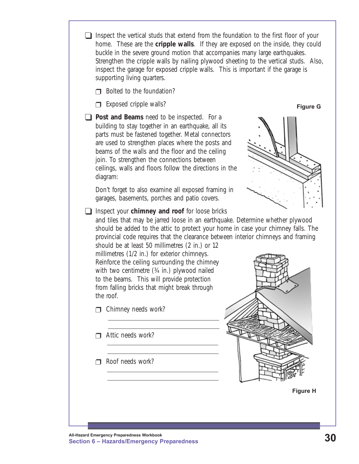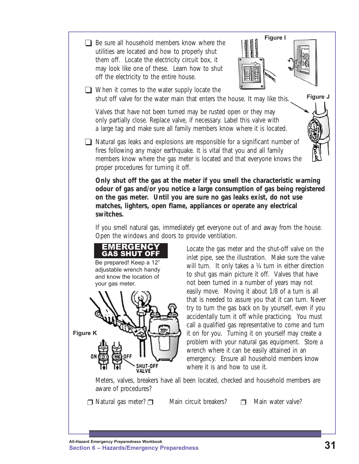

**Figure J**

 $\Box$  When it comes to the water supply locate the shut off valve for the water main that enters the house. It may like this.

Valves that have not been turned may be rusted open or they may only partially close. Replace valve, if necessary. Label this valve with a large tag and make sure all family members know where it is located.

 $\Box$  Natural gas leaks and explosions are responsible for a significant number of fires following any major earthquake. It is vital that you and all family members know where the gas meter is located and that everyone knows the proper procedures for turning it off.

**Only shut off the gas at the meter if you smell the characteristic warning odour of gas and/or you notice a large consumption of gas being registered on the gas meter. Until you are sure no gas leaks exist, do not use matches, lighters, open flame, appliances or operate any electrical switches.**

If you smell natural gas, immediately get everyone out of and away from the house. Open the windows and doors to provide ventilation.

> Locate the gas meter and the shut-off valve on the inlet pipe, see the illustration. Make sure the valve will turn. It only takes a 1/4 turn in either direction to shut gas main picture it off. Valves that have not been turned in a number of years may not easily move. Moving it about 1/8 of a turn is all that is needed to assure you that it can turn. Never try to turn the gas back on by yourself, even if you accidentally turn it off while practicing. You must call a qualified gas representative to come and turn it on for you. Turning it on yourself may create a problem with your natural gas equipment. Store a wrench where it can be easily attained in an emergency. Ensure all household members know where it is and how to use it.

Meters, valves, breakers have all been located, checked and household members are aware of procedures?

 $\Box$  Natural gas meter?  $\Box$  Main circuit breakers?  $\Box$  Main water valve?

EMERGENCY **GAS SHUT OF** Be prepared! Keep a 12" adjustable wrench handy and know the location of

your gas meter.

**Figure K**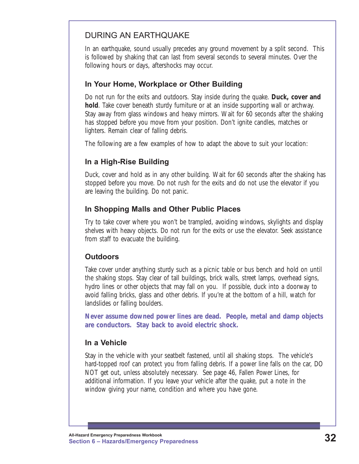#### DURING AN EARTHQUAKE

In an earthquake, sound usually precedes any ground movement by a split second. This is followed by shaking that can last from several seconds to several minutes. Over the following hours or days, aftershocks may occur.

#### **In Your Home, Workplace or Other Building**

Do not run for the exits and outdoors. Stay inside during the quake. **Duck, cover and hold**. Take cover beneath sturdy furniture or at an inside supporting wall or archway. Stay away from glass windows and heavy mirrors. Wait for 60 seconds after the shaking has stopped before you move from your position. Don't ignite candles, matches or lighters. Remain clear of falling debris.

The following are a few examples of how to adapt the above to suit your location:

#### **In a High-Rise Building**

Duck, cover and hold as in any other building. Wait for 60 seconds after the shaking has stopped before you move. Do not rush for the exits and do not use the elevator if you are leaving the building. Do not panic.

#### **In Shopping Malls and Other Public Places**

Try to take cover where you won't be trampled, avoiding windows, skylights and display shelves with heavy objects. Do not run for the exits or use the elevator. Seek assistance from staff to evacuate the building.

#### **Outdoors**

Take cover under anything sturdy such as a picnic table or bus bench and hold on until the shaking stops. Stay clear of tall buildings, brick walls, street lamps, overhead signs, hydro lines or other objects that may fall on you. If possible, duck into a doorway to avoid falling bricks, glass and other debris. If you're at the bottom of a hill, watch for landslides or falling boulders.

**Never assume downed power lines are dead. People, metal and damp objects are conductors. Stay back to avoid electric shock.**

#### **In a Vehicle**

Stay in the vehicle with your seatbelt fastened, until all shaking stops. The vehicle's hard-topped roof can protect you from falling debris. If a power line falls on the car, DO NOT get out, unless absolutely necessary. See page 46, Fallen Power Lines, for additional information. If you leave your vehicle after the quake, put a note in the window giving your name, condition and where you have gone.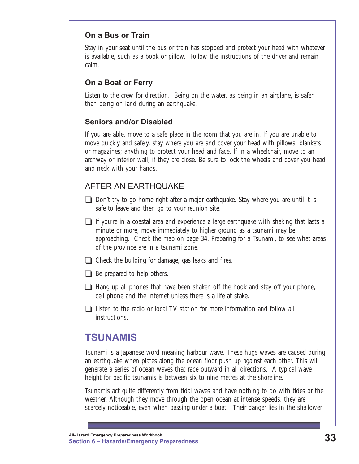#### <span id="page-38-0"></span>**On a Bus or Train**

Stay in your seat until the bus or train has stopped and protect your head with whatever is available, such as a book or pillow. Follow the instructions of the driver and remain calm.

#### **On a Boat or Ferry**

Listen to the crew for direction. Being on the water, as being in an airplane, is safer than being on land during an earthquake.

#### **Seniors and/or Disabled**

If you are able, move to a safe place in the room that you are in. If you are unable to move quickly and safely, stay where you are and cover your head with pillows, blankets or magazines; anything to protect your head and face. If in a wheelchair, move to an archway or interior wall, if they are close. Be sure to lock the wheels and cover you head and neck with your hands.

#### AFTER AN EARTHQUAKE

- $\Box$  Don't try to go home right after a major earthquake. Stay where you are until it is safe to leave and then go to your reunion site.
- $\Box$  If you're in a coastal area and experience a large earthquake with shaking that lasts a minute or more, move immediately to higher ground as a tsunami may be approaching. Check the map on page 34, Preparing for a Tsunami, to see what areas of the province are in a tsunami zone.
- $\Box$  Check the building for damage, gas leaks and fires.
- $\Box$  Be prepared to help others.
- $\Box$  Hang up all phones that have been shaken off the hook and stay off your phone, cell phone and the Internet unless there is a life at stake.
- $\Box$  Listen to the radio or local TV station for more information and follow all instructions.

## **TSUNAMIS**

Tsunami is a Japanese word meaning harbour wave. These huge waves are caused during an earthquake when plates along the ocean floor push up against each other. This will generate a series of ocean waves that race outward in all directions. A typical wave height for pacific tsunamis is between six to nine metres at the shoreline.

Tsunamis act quite differently from tidal waves and have nothing to do with tides or the weather. Although they move through the open ocean at intense speeds, they are scarcely noticeable, even when passing under a boat. Their danger lies in the shallower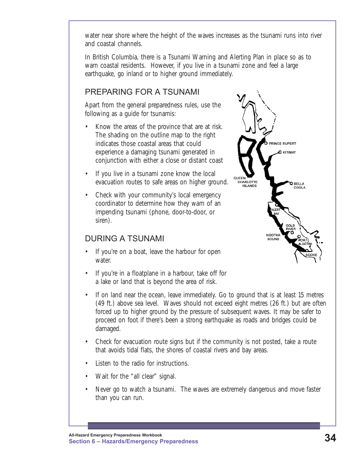water near shore where the height of the waves increases as the tsunami runs into river and coastal channels.

In British Columbia, there is a Tsunami Warning and Alerting Plan in place so as to warn coastal residents. However, if you live in a tsunami zone and feel a large earthquake, go inland or to higher ground immediately.

#### PREPARING FOR A TSUNAMI

Apart from the general preparedness rules, use the following as a guide for tsunamis:

- Know the areas of the province that are at risk. The shading on the outline map to the right indicates those coastal areas that could experience a damaging tsunami generated in conjunction with either a close or distant coast
- If you live in a tsunami zone know the local evacuation routes to safe areas on higher ground.
- Check with your community's local emergency coordinator to determine how they warn of an impending tsunami (phone, door-to-door, or siren).

#### DURING A TSUNAMI

- If you're on a boat, leave the harbour for open water.
- If you're in a floatplane in a harbour, take off for a lake or land that is beyond the area of risk.



- If on land near the ocean, leave immediately. Go to ground that is at least 15 metres (49 ft.) above sea level. Waves should not exceed eight metres (26 ft.) but are often forced up to higher ground by the pressure of subsequent waves. It may be safer to proceed on foot if there's been a strong earthquake as roads and bridges could be damaged.
- Check for evacuation route signs but if the community is not posted, take a route that avoids tidal flats, the shores of coastal rivers and bay areas.
- Listen to the radio for instructions.
- Wait for the "all clear" signal.
- Never go to watch a tsunami. The waves are extremely dangerous and move faster than you can run.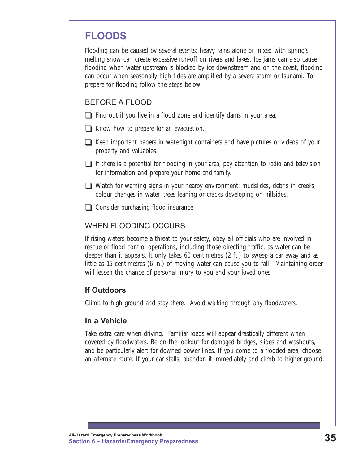## <span id="page-40-0"></span>**FLOODS**

Flooding can be caused by several events: heavy rains alone or mixed with spring's melting snow can create excessive run-off on rivers and lakes. Ice jams can also cause flooding when water upstream is blocked by ice downstream and on the coast, flooding can occur when seasonally high tides are amplified by a severe storm or tsunami. To prepare for flooding follow the steps below.

#### BEFORE A FLOOD

- $\Box$  Find out if you live in a flood zone and identify dams in your area.
- $\Box$  Know how to prepare for an evacuation.
- $\Box$  Keep important papers in watertight containers and have pictures or videos of your property and valuables.
- $\Box$  If there is a potential for flooding in your area, pay attention to radio and television for information and prepare your home and family.
- $\Box$  Watch for warning signs in your nearby environment: mudslides, debris in creeks, colour changes in water, trees leaning or cracks developing on hillsides.
- $\Box$  Consider purchasing flood insurance.

#### WHEN FLOODING OCCURS

If rising waters become a threat to your safety, obey all officials who are involved in rescue or flood control operations, including those directing traffic, as water can be deeper than it appears. It only takes 60 centimetres (2 ft.) to sweep a car away and as little as 15 centimetres (6 in.) of moving water can cause you to fall. Maintaining order will lessen the chance of personal injury to you and your loved ones.

#### **If Outdoors**

Climb to high ground and stay there. Avoid walking through any floodwaters.

#### **In a Vehicle**

Take extra care when driving. Familiar roads will appear drastically different when covered by floodwaters. Be on the lookout for damaged bridges, slides and washouts, and be particularly alert for downed power lines. If you come to a flooded area, choose an alternate route. If your car stalls, abandon it immediately and climb to higher ground.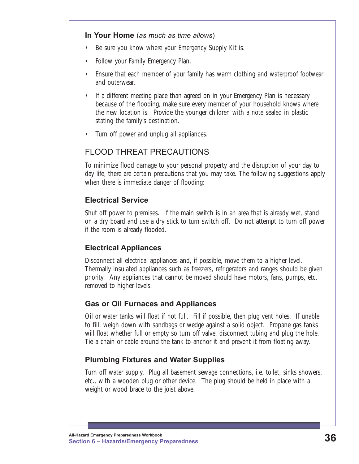#### **In Your Home** (*as much as time allows*)

- Be sure you know where your Emergency Supply Kit is.
- Follow your Family Emergency Plan.
- Ensure that each member of your family has warm clothing and waterproof footwear and outerwear.
- If a different meeting place than agreed on in your Emergency Plan is necessary because of the flooding, make sure every member of your household knows where the new location is. Provide the younger children with a note sealed in plastic stating the family's destination.
- Turn off power and unplug all appliances.

#### FLOOD THREAT PRECAUTIONS

To minimize flood damage to your personal property and the disruption of your day to day life, there are certain precautions that you may take. The following suggestions apply when there is immediate danger of flooding:

#### **Electrical Service**

Shut off power to premises. If the main switch is in an area that is already wet, stand on a dry board and use a dry stick to turn switch off. Do not attempt to turn off power if the room is already flooded.

#### **Electrical Appliances**

Disconnect all electrical appliances and, if possible, move them to a higher level. Thermally insulated appliances such as freezers, refrigerators and ranges should be given priority. Any appliances that cannot be moved should have motors, fans, pumps, etc. removed to higher levels.

#### **Gas or Oil Furnaces and Appliances**

Oil or water tanks will float if not full. Fill if possible, then plug vent holes. If unable to fill, weigh down with sandbags or wedge against a solid object. Propane gas tanks will float whether full or empty so turn off valve, disconnect tubing and plug the hole. Tie a chain or cable around the tank to anchor it and prevent it from floating away.

#### **Plumbing Fixtures and Water Supplies**

Turn off water supply. Plug all basement sewage connections, i.e. toilet, sinks showers, etc., with a wooden plug or other device. The plug should be held in place with a weight or wood brace to the joist above.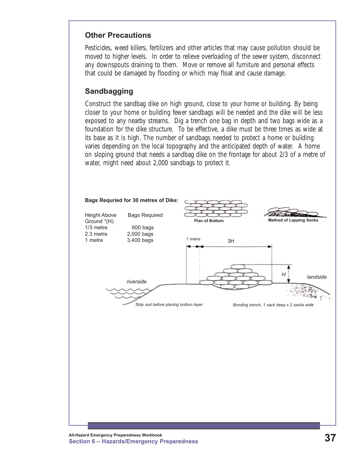#### **Other Precautions**

Pesticides, weed killers, fertilizers and other articles that may cause pollution should be moved to higher levels. In order to relieve overloading of the sewer system, disconnect any downspouts draining to them. Move or remove all furniture and personal effects that could be damaged by flooding or which may float and cause damage.

#### **Sandbagging**

Construct the sandbag dike on high ground, close to your home or building. By being closer to your home or building fewer sandbags will be needed and the dike will be less exposed to any nearby streams. Dig a trench one bag in depth and two bags wide as a foundation for the dike structure. To be effective, a dike must be three times as wide at its base as it is high. The number of sandbags needed to protect a home or building varies depending on the local topography and the anticipated depth of water. A home on sloping ground that needs a sandbag dike on the frontage for about 2/3 of a metre of water, might need about 2,000 sandbags to protect it.

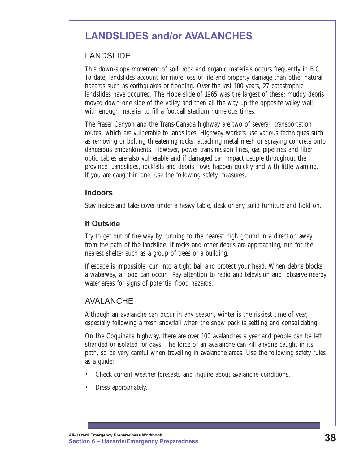## <span id="page-43-0"></span>**LANDSLIDES and/or AVALANCHES**

#### LANDSLIDE

This down-slope movement of soil, rock and organic materials occurs frequently in B.C. To date, landslides account for more loss of life and property damage than other natural hazards such as earthquakes or flooding. Over the last 100 years, 27 catastrophic landslides have occurred. The Hope slide of 1965 was the largest of these; muddy debris moved down one side of the valley and then all the way up the opposite valley wall with enough material to fill a football stadium numerous times.

The Fraser Canyon and the Trans-Canada highway are two of several transportation routes, which are vulnerable to landslides. Highway workers use various techniques such as removing or bolting threatening rocks, attaching metal mesh or spraying concrete onto dangerous embankments. However, power transmission lines, gas pipelines and fiber optic cables are also vulnerable and if damaged can impact people throughout the province. Landslides, rockfalls and debris flows happen quickly and with little warning. If you are caught in one, use the following safety measures:

#### **Indoors**

Stay inside and take cover under a heavy table, desk or any solid furniture and hold on.

#### **If Outside**

Try to get out of the way by running to the nearest high ground in a direction away from the path of the landslide. If rocks and other debris are approaching, run for the nearest shelter such as a group of trees or a building.

If escape is impossible, curl into a tight ball and protect your head. When debris blocks a waterway, a flood can occur. Pay attention to radio and television and observe nearby water areas for signs of potential flood hazards.

#### AVALANCHE

Although an avalanche can occur in any season, winter is the riskiest time of year, especially following a fresh snowfall when the snow pack is settling and consolidating.

On the Coquihalla highway, there are over 100 avalanches a year and people can be left stranded or isolated for days. The force of an avalanche can kill anyone caught in its path, so be very careful when travelling in avalanche areas. Use the following safety rules as a guide:

- Check current weather forecasts and inquire about avalanche conditions.
- Dress appropriately.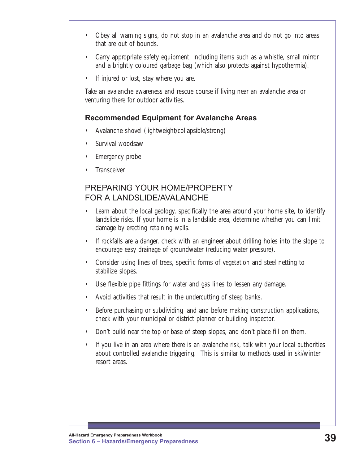- Obey all warning signs, do not stop in an avalanche area and do not go into areas that are out of bounds.
- Carry appropriate safety equipment, including items such as a whistle, small mirror and a brightly coloured garbage bag (which also protects against hypothermia).
- If injured or lost, stay where you are.

Take an avalanche awareness and rescue course if living near an avalanche area or venturing there for outdoor activities.

#### **Recommended Equipment for Avalanche Areas**

- Avalanche shovel (lightweight/collapsible/strong)
- Survival woodsaw
- Emergency probe
- **Transceiver**

#### PREPARING YOUR HOME/PROPERTY FOR A LANDSLIDE/AVALANCHE

- Learn about the local geology, specifically the area around your home site, to identify landslide risks. If your home is in a landslide area, determine whether you can limit damage by erecting retaining walls.
- If rockfalls are a danger, check with an engineer about drilling holes into the slope to encourage easy drainage of groundwater (reducing water pressure).
- Consider using lines of trees, specific forms of vegetation and steel netting to stabilize slopes.
- Use flexible pipe fittings for water and gas lines to lessen any damage.
- Avoid activities that result in the undercutting of steep banks.
- Before purchasing or subdividing land and before making construction applications, check with your municipal or district planner or building inspector.
- Don't build near the top or base of steep slopes, and don't place fill on them.
- If you live in an area where there is an avalanche risk, talk with your local authorities about controlled avalanche triggering. This is similar to methods used in ski/winter resort areas.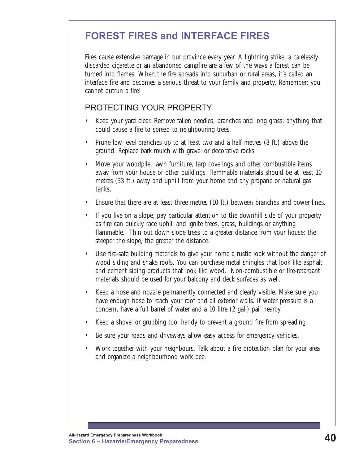## <span id="page-45-0"></span>**FOREST FIRES and INTERFACE FIRES**

Fires cause extensive damage in our province every year. A lightning strike, a carelessly discarded cigarette or an abandoned campfire are a few of the ways a forest can be turned into flames. When the fire spreads into suburban or rural areas, it's called an interface fire and becomes a serious threat to your family and property. Remember; you cannot outrun a fire!

#### PROTECTING YOUR PROPERTY

- Keep your yard clear. Remove fallen needles, branches and long grass; anything that could cause a fire to spread to neighbouring trees.
- Prune low-level branches up to at least two and a half metres (8 ft.) above the ground. Replace bark mulch with gravel or decorative rocks.
- Move your woodpile, lawn furniture, tarp coverings and other combustible items away from your house or other buildings. Flammable materials should be at least 10 metres (33 ft.) away and uphill from your home and any propane or natural gas tanks.
- Ensure that there are at least three metres (10 ft.) between branches and power lines.
- If you live on a slope, pay particular attention to the downhill side of your property as fire can quickly race uphill and ignite trees, grass, buildings or anything flammable. Thin out down-slope trees to a greater distance from your house: the steeper the slope, the greater the distance.
- Use fire-safe building materials to give your home a rustic look without the danger of wood siding and shake roofs. You can purchase metal shingles that look like asphalt and cement siding products that look like wood. Non-combustible or fire-retardant materials should be used for your balcony and deck surfaces as well.
- Keep a hose and nozzle permanently connected and clearly visible. Make sure you have enough hose to reach your roof and all exterior walls. If water pressure is a concern, have a full barrel of water and a 10 litre (2 gal.) pail nearby.
- Keep a shovel or grubbing tool handy to prevent a ground fire from spreading.
- Be sure your roads and driveways allow easy access for emergency vehicles.
- Work together with your neighbours. Talk about a fire protection plan for your area and organize a neighbourhood work bee.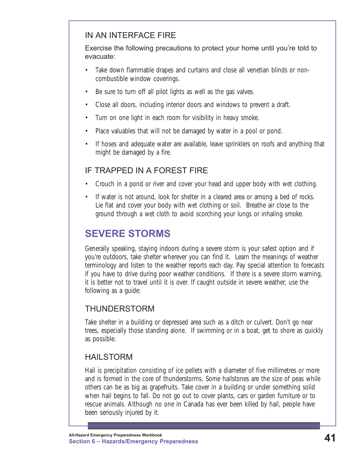#### <span id="page-46-0"></span>IN AN INTERFACE FIRE

Exercise the following precautions to protect your home until you're told to evacuate:

- Take down flammable drapes and curtains and close all venetian blinds or noncombustible window coverings.
- Be sure to turn off all pilot lights as well as the gas valves.
- Close all doors, including interior doors and windows to prevent a draft.
- Turn on one light in each room for visibility in heavy smoke.
- Place valuables that will not be damaged by water in a pool or pond.
- If hoses and adequate water are available, leave sprinklers on roofs and anything that might be damaged by a fire.

#### IF TRAPPED IN A FOREST FIRE

- Crouch in a pond or river and cover your head and upper body with wet clothing.
- If water is not around, look for shelter in a cleared area or among a bed of rocks. Lie flat and cover your body with wet clothing or soil. Breathe air close to the ground through a wet cloth to avoid scorching your lungs or inhaling smoke.

## **SEVERE STORMS**

Generally speaking, staying indoors during a severe storm is your safest option and if you're outdoors, take shelter wherever you can find it. Learn the meanings of weather terminology and listen to the weather reports each day. Pay special attention to forecasts if you have to drive during poor weather conditions. If there is a severe storm warning, it is better not to travel until it is over. If caught outside in severe weather, use the following as a guide:

#### THUNDERSTORM

Take shelter in a building or depressed area such as a ditch or culvert. Don't go near trees, especially those standing alone. If swimming or in a boat, get to shore as quickly as possible.

#### HAILSTORM

Hail is precipitation consisting of ice pellets with a diameter of five millimetres or more and is formed in the core of thunderstorms. Some hailstones are the size of peas while others can be as big as grapefruits. Take cover in a building or under something solid when hail begins to fall. Do not go out to cover plants, cars or garden furniture or to rescue animals. Although no one in Canada has ever been killed by hail, people have been seriously injured by it.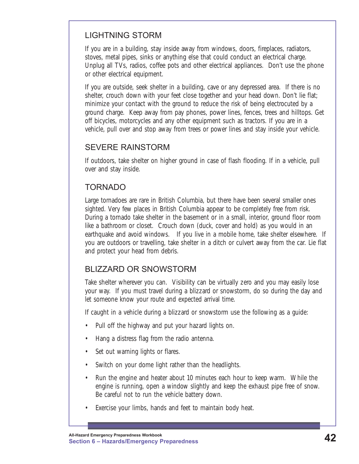#### LIGHTNING STORM

If you are in a building, stay inside away from windows, doors, fireplaces, radiators, stoves, metal pipes, sinks or anything else that could conduct an electrical charge. Unplug all TVs, radios, coffee pots and other electrical appliances. Don't use the phone or other electrical equipment.

If you are outside, seek shelter in a building, cave or any depressed area. If there is no shelter, crouch down with your feet close together and your head down. Don't lie flat; minimize your contact with the ground to reduce the risk of being electrocuted by a ground charge. Keep away from pay phones, power lines, fences, trees and hilltops. Get off bicycles, motorcycles and any other equipment such as tractors. If you are in a vehicle, pull over and stop away from trees or power lines and stay inside your vehicle.

#### SEVERE RAINSTORM

If outdoors, take shelter on higher ground in case of flash flooding. If in a vehicle, pull over and stay inside.

#### TORNADO

Large tornadoes are rare in British Columbia, but there have been several smaller ones sighted. Very few places in British Columbia appear to be completely free from risk. During a tornado take shelter in the basement or in a small, interior, ground floor room like a bathroom or closet. Crouch down (duck, cover and hold) as you would in an earthquake and avoid windows. If you live in a mobile home, take shelter elsewhere. If you are outdoors or travelling, take shelter in a ditch or culvert away from the car. Lie flat and protect your head from debris.

#### BLIZZARD OR SNOWSTORM

Take shelter wherever you can. Visibility can be virtually zero and you may easily lose your way. If you must travel during a blizzard or snowstorm, do so during the day and let someone know your route and expected arrival time.

If caught in a vehicle during a blizzard or snowstorm use the following as a guide:

- Pull off the highway and put your hazard lights on.
- Hang a distress flag from the radio antenna.
- Set out warning lights or flares.
- Switch on your dome light rather than the headlights.
- Run the engine and heater about 10 minutes each hour to keep warm. While the engine is running, open a window slightly and keep the exhaust pipe free of snow. Be careful not to run the vehicle battery down.
- Exercise your limbs, hands and feet to maintain body heat.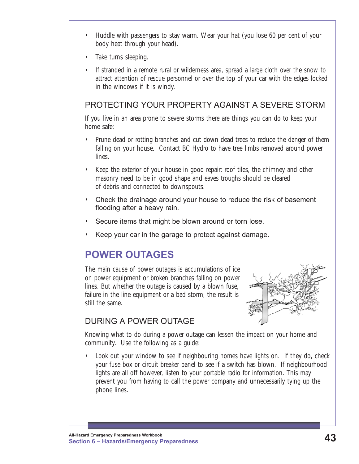- <span id="page-48-0"></span>• Huddle with passengers to stay warm. Wear your hat (you lose 60 per cent of your body heat through your head).
- Take turns sleeping.
- If stranded in a remote rural or wilderness area, spread a large cloth over the snow to attract attention of rescue personnel or over the top of your car with the edges locked in the windows if it is windy.

#### PROTECTING YOUR PROPERTY AGAINST A SEVERE STORM

If you live in an area prone to severe storms there are things you can do to keep your home safe:

- Prune dead or rotting branches and cut down dead trees to reduce the danger of them falling on your house. Contact BC Hydro to have tree limbs removed around power lines.
- Keep the exterior of your house in good repair: roof tiles, the chimney and other masonry need to be in good shape and eaves troughs should be cleared of debris and connected to downspouts.
- Check the drainage around your house to reduce the risk of basement flooding after a heavy rain.
- Secure items that might be blown around or torn lose.
- Keep your car in the garage to protect against damage.

## **POWER OUTAGES**

The main cause of power outages is accumulations of ice on power equipment or broken branches falling on power lines. But whether the outage is caused by a blown fuse, failure in the line equipment or a bad storm, the result is still the same.



### DURING A POWER OUTAGE

Knowing what to do during a power outage can lessen the impact on your home and community. Use the following as a guide:

• Look out your window to see if neighbouring homes have lights on. If they do, check your fuse box or circuit breaker panel to see if a switch has blown. If neighbourhood lights are all off however, listen to your portable radio for information. This may prevent you from having to call the power company and unnecessarily tying up the phone lines.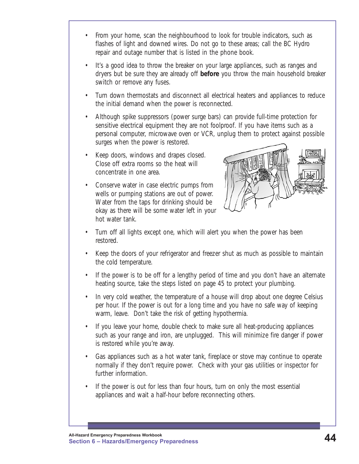- From your home, scan the neighbourhood to look for trouble indicators, such as flashes of light and downed wires. Do not go to these areas; call the BC Hydro repair and outage number that is listed in the phone book.
- It's a good idea to throw the breaker on your large appliances, such as ranges and dryers but be sure they are already off **before** you throw the main household breaker switch or remove any fuses.
- Turn down thermostats and disconnect all electrical heaters and appliances to reduce the initial demand when the power is reconnected.
- Although spike suppressors (power surge bars) can provide full-time protection for sensitive electrical equipment they are not foolproof. If you have items such as a personal computer, microwave oven or VCR, unplug them to protect against possible surges when the power is restored.
- Keep doors, windows and drapes closed. Close off extra rooms so the heat will concentrate in one area.
- Conserve water in case electric pumps from wells or pumping stations are out of power. Water from the taps for drinking should be okay as there will be some water left in your hot water tank.



- Turn off all lights except one, which will alert you when the power has been restored.
- Keep the doors of your refrigerator and freezer shut as much as possible to maintain the cold temperature.
- If the power is to be off for a lengthy period of time and you don't have an alternate heating source, take the steps listed on page 45 to protect your plumbing.
- In very cold weather, the temperature of a house will drop about one degree Celsius per hour. If the power is out for a long time and you have no safe way of keeping warm, leave. Don't take the risk of getting hypothermia.
- If you leave your home, double check to make sure all heat-producing appliances such as your range and iron, are unplugged. This will minimize fire danger if power is restored while you're away.
- Gas appliances such as a hot water tank, fireplace or stove may continue to operate normally if they don't require power. Check with your gas utilities or inspector for further information.
- If the power is out for less than four hours, turn on only the most essential appliances and wait a half-hour before reconnecting others.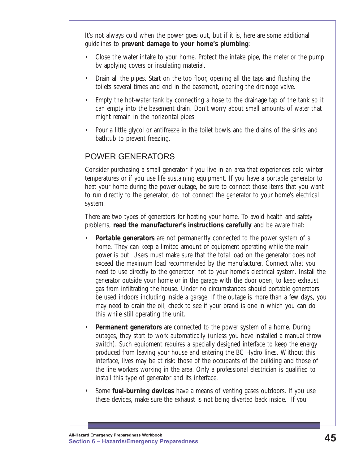It's not always cold when the power goes out, but if it is, here are some additional guidelines to **prevent damage to your home's plumbing**:

- Close the water intake to your home. Protect the intake pipe, the meter or the pump by applying covers or insulating material.
- Drain all the pipes. Start on the top floor, opening all the taps and flushing the toilets several times and end in the basement, opening the drainage valve.
- Empty the hot-water tank by connecting a hose to the drainage tap of the tank so it can empty into the basement drain. Don't worry about small amounts of water that might remain in the horizontal pipes.
- Pour a little glycol or antifreeze in the toilet bowls and the drains of the sinks and bathtub to prevent freezing.

#### POWER GENERATORS

Consider purchasing a small generator if you live in an area that experiences cold winter temperatures or if you use life sustaining equipment. If you have a portable generator to heat your home during the power outage, be sure to connect those items that you want to run directly to the generator; do not connect the generator to your home's electrical system.

There are two types of generators for heating your home. To avoid health and safety problems, **read the manufacturer's instructions carefully** and be aware that:

- **Portable generators** are not permanently connected to the power system of a home. They can keep a limited amount of equipment operating while the main power is out. Users must make sure that the total load on the generator does not exceed the maximum load recommended by the manufacturer. Connect what you need to use directly to the generator, not to your home's electrical system. Install the generator outside your home or in the garage with the door open, to keep exhaust gas from infiltrating the house. Under no circumstances should portable generators be used indoors including inside a garage. If the outage is more than a few days, you may need to drain the oil; check to see if your brand is one in which you can do this while still operating the unit.
- **Permanent generators** are connected to the power system of a home. During outages, they start to work automatically (unless you have installed a manual throw switch). Such equipment requires a specially designed interface to keep the energy produced from leaving your house and entering the BC Hydro lines. Without this interface, lives may be at risk: those of the occupants of the building and those of the line workers working in the area. Only a professional electrician is qualified to install this type of generator and its interface.
- Some **fuel-burning devices** have a means of venting gases outdoors. If you use these devices, make sure the exhaust is not being diverted back inside. *If you*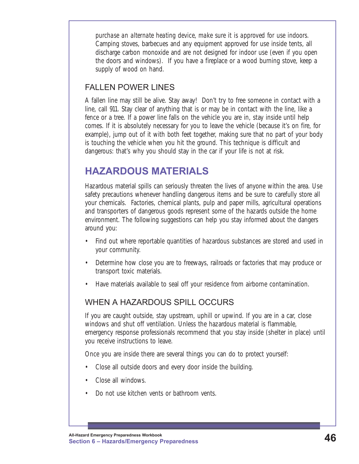<span id="page-51-0"></span>*purchase an alternate heating device, make sure it is approved for use indoors.* Camping stoves, barbecues and any equipment approved for use inside tents, all discharge carbon monoxide and are not designed for indoor use (even if you open the doors and windows). If you have a fireplace or a wood burning stove, keep a supply of wood on hand.

#### FALLEN POWER LINES

A fallen line may still be alive. Stay away! Don't try to free someone in contact with a line, call 911. Stay clear of anything that is or may be in contact with the line, like a fence or a tree. If a power line falls on the vehicle you are in, stay inside until help comes. If it is absolutely necessary for you to leave the vehicle (because it's on fire, for example), jump out of it with both feet together, making sure that no part of your body is touching the vehicle when you hit the ground. This technique is difficult and dangerous: that's why you should stay in the car if your life is not at risk.

## **HAZARDOUS MATERIALS**

Hazardous material spills can seriously threaten the lives of anyone within the area. Use safety precautions whenever handling dangerous items and be sure to carefully store all your chemicals. Factories, chemical plants, pulp and paper mills, agricultural operations and transporters of dangerous goods represent some of the hazards outside the home environment. The following suggestions can help you stay informed about the dangers around you:

- Find out where reportable quantities of hazardous substances are stored and used in your community.
- Determine how close you are to freeways, railroads or factories that may produce or transport toxic materials.
- Have materials available to seal off your residence from airborne contamination.

#### WHEN A HAZARDOUS SPILL OCCURS

If you are caught outside, stay upstream, uphill or upwind. If you are in a car, close windows and shut off ventilation. Unless the hazardous material is flammable, emergency response professionals recommend that you stay inside (shelter in place) until you receive instructions to leave.

Once you are inside there are several things you can do to protect yourself:

- Close all outside doors and every door inside the building.
- Close all windows.
- Do not use kitchen vents or bathroom vents.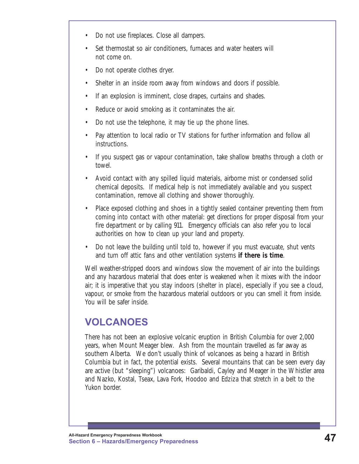- <span id="page-52-0"></span>Do not use fireplaces. Close all dampers.
- Set thermostat so air conditioners, furnaces and water heaters will not come on.
- Do not operate clothes dryer.
- Shelter in an inside room away from windows and doors if possible.
- If an explosion is imminent, close drapes, curtains and shades.
- Reduce or avoid smoking as it contaminates the air.
- Do not use the telephone, it may tie up the phone lines.
- Pay attention to local radio or TV stations for further information and follow all instructions.
- If you suspect gas or vapour contamination, take shallow breaths through a cloth or towel.
- Avoid contact with any spilled liquid materials, airborne mist or condensed solid chemical deposits. If medical help is not immediately available and you suspect contamination, remove all clothing and shower thoroughly.
- Place exposed clothing and shoes in a tightly sealed container preventing them from coming into contact with other material: get directions for proper disposal from your fire department or by calling 911. Emergency officials can also refer you to local authorities on how to clean up your land and property.
- Do not leave the building until told to, however if you must evacuate, shut vents and turn off attic fans and other ventilation systems **if there is time**.

Well weather-stripped doors and windows slow the movement of air into the buildings and any hazardous material that does enter is weakened when it mixes with the indoor air; it is imperative that you stay indoors (shelter in place), especially if you see a cloud, vapour, or smoke from the hazardous material outdoors or you can smell it from inside. You will be safer inside.

## **VOLCANOES**

There has not been an explosive volcanic eruption in British Columbia for over 2,000 years, when Mount Meager blew. Ash from the mountain travelled as far away as southern Alberta. We don't usually think of volcanoes as being a hazard in British Columbia but in fact, the potential exists. Several mountains that can be seen every day are active (but "sleeping") volcanoes: Garibaldi, Cayley and Meager in the Whistler area and Nazko, Kostal, Tseax, Lava Fork, Hoodoo and Edziza that stretch in a belt to the Yukon border.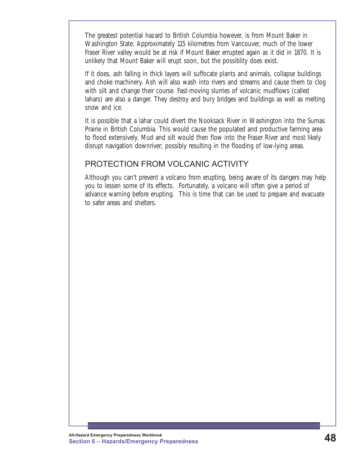The greatest potential hazard to British Columbia however, is from Mount Baker in Washington State. Approximately 115 kilometres from Vancouver, much of the lower Fraser River valley would be at risk if Mount Baker errupted again as it did in 1870. It is unlikely that Mount Baker will erupt soon, but the possiblity does exist.

If it does, ash falling in thick layers will suffocate plants and animals, collapse buildings and choke machinery. Ash will also wash into rivers and streams and cause them to clog with silt and change their course. Fast-moving slurries of volcanic mudflows (called lahars) are also a danger. They destroy and bury bridges and buildings as well as melting snow and ice.

It is possible that a lahar could divert the Nooksack River in Washington into the Sumas Prairie in British Columbia. This would cause the populated and productive farming area to flood extensively. Mud and silt would then flow into the Fraser River and most likely disrupt navigation downriver; possibly resulting in the flooding of low-lying areas.

#### PROTECTION FROM VOLCANIC ACTIVITY

Although you can't prevent a volcano from erupting, being aware of its dangers may help you to lessen some of its effects. Fortunately, a volcano will often give a period of advance warning before erupting. This is time that can be used to prepare and evacuate to safer areas and shelters.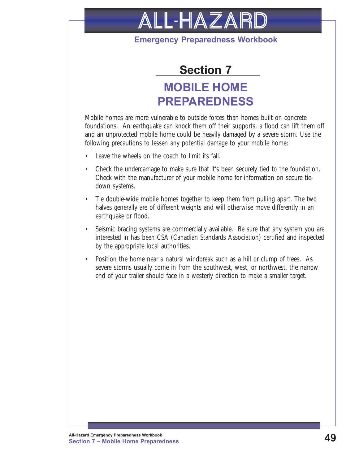<span id="page-54-0"></span>

#### **Emergency Preparedness Workbook**



## **MOBILE HOME PREPAREDNESS**

Mobile homes are more vulnerable to outside forces than homes built on concrete foundations. An earthquake can knock them off their supports, a flood can lift them off and an unprotected mobile home could be heavily damaged by a severe storm. Use the following precautions to lessen any potential damage to your mobile home:

- Leave the wheels on the coach to limit its fall.
- Check the undercarriage to make sure that it's been securely tied to the foundation. Check with the manufacturer of your mobile home for information on secure tiedown systems.
- Tie double-wide mobile homes together to keep them from pulling apart. The two halves generally are of different weights and will otherwise move differently in an earthquake or flood.
- Seismic bracing systems are commercially available. Be sure that any system you are interested in has been CSA (Canadian Standards Association) certified and inspected by the appropriate local authorities.
- Position the home near a natural windbreak such as a hill or clump of trees. As severe storms usually come in from the southwest, west, or northwest, the narrow end of your trailer should face in a westerly direction to make a smaller target.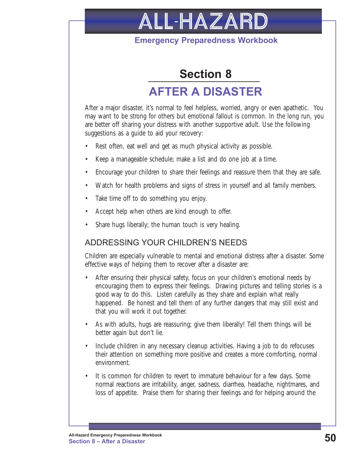

#### **Emergency Preparedness Workbook**

## **Section 8**

## **AFTER A DISASTER**

<span id="page-55-0"></span>After a major disaster, it's normal to feel helpless, worried, angry or even apathetic. You may want to be strong for others but emotional fallout is common. In the long run, you are better off sharing your distress with another supportive adult. Use the following suggestions as a guide to aid your recovery:

- Rest often, eat well and get as much physical activity as possible.
- Keep a manageable schedule; make a list and do one job at a time.
- Encourage your children to share their feelings and reassure them that they are safe.
- Watch for health problems and signs of stress in yourself and all family members.
- Take time off to do something you enjoy.
- Accept help when others are kind enough to offer.
- Share hugs liberally; the human touch is very healing.

#### ADDRESSING YOUR CHILDREN'S NEEDS

Children are especially vulnerable to mental and emotional distress after a disaster. Some effective ways of helping them to recover after a disaster are:

- After ensuring their physical safety, focus on your children's emotional needs by encouraging them to express their feelings. Drawing pictures and telling stories is a good way to do this. Listen carefully as they share and explain what really happened. Be honest and tell them of any further dangers that may still exist and that you will work it out together.
- As with adults, hugs are reassuring; give them liberally! Tell them things will be better again but don't lie.
- Include children in any necessary cleanup activities. Having a job to do refocuses their attention on something more positive and creates a more comforting, normal environment.
- It is common for children to revert to immature behaviour for a few days. Some normal reactions are irritability, anger, sadness, diarrhea, headache, nightmares, and loss of appetite. Praise them for sharing their feelings and for helping around the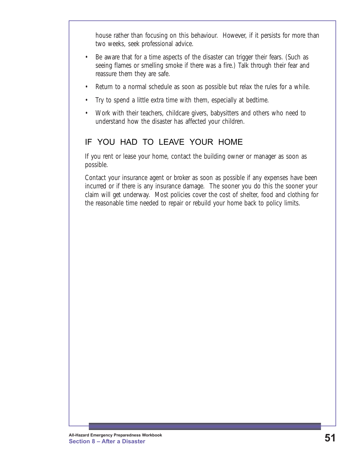house rather than focusing on this behaviour. However, if it persists for more than two weeks, seek professional advice.

- Be aware that for a time aspects of the disaster can trigger their fears. (Such as seeing flames or smelling smoke if there was a fire.) Talk through their fear and reassure them they are safe.
- Return to a normal schedule as soon as possible but relax the rules for a while.
- Try to spend a little extra time with them, especially at bedtime.
- Work with their teachers, childcare givers, babysitters and others who need to understand how the disaster has affected your children.

#### IF YOU HAD TO LEAVE YOUR HOME

If you rent or lease your home, contact the building owner or manager as soon as possible.

Contact your insurance agent or broker as soon as possible if any expenses have been incurred or if there is any insurance damage. The sooner you do this the sooner your claim will get underway. Most policies cover the cost of shelter, food and clothing for the reasonable time needed to repair or rebuild your home back to policy limits.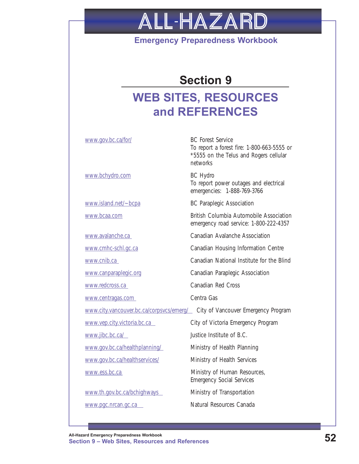# <span id="page-57-0"></span>ALL-HAZARD

#### **Emergency Preparedness Workbook**

## **Section 9**

## **WEB SITES, RESOURCES and REFERENCES**

<www.bchydro.com> BC Hydro

<www.centragas.com>Centra Gas

<www.pgc.nrcan.gc.ca>Natural Resources Canada

<www.gov.bc.ca/for/> BC Forest Service To report a forest fire: 1-800-663-5555 or \*5555 on the Telus and Rogers cellular networks

> To report power outages and electrical emergencies: 1-888-769-3766

<www.island.net/~bcpa> BC Paraplegic Association

<www.bcaa.com> British Columbia Automobile Association emergency road service: 1-800-222-4357

<www.avalanche.ca>Canadian Avalanche Association

<www.cmhc-schl.gc.ca> Canadian Housing Information Centre

<www.cnib.ca>Canadian National Institute for the Blind

<www.canparaplegic.org> Canadian Paraplegic Association

<www.redcross.ca>Canadian Red Cross

<www.city.vancouver.bc.ca/corpsvcs/emerg/>City of Vancouver Emergency Program

<www.vep.city.victoria.bc.ca>City of Victoria Emergency Program

<www.jibc.bc.ca/>Justice Institute of B.C.

<www.gov.bc.ca/healthplanning/>Ministry of Health Planning

<www.gov.bc.ca/healthservices/> Ministry of Health Services

<www.ess.bc.ca> Ministry of Human Resources, Emergency Social Services

<www.th.gov.bc.ca/bchighways>Ministry of Transportation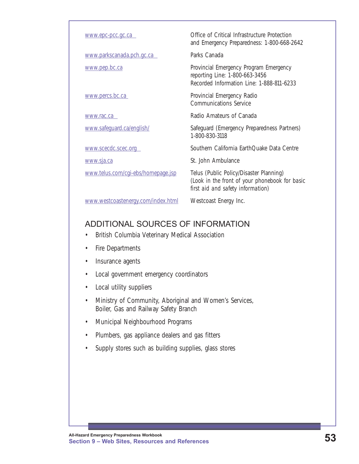| www.epc-pcc.gc.ca                  | Office of Critical Infrastructure Protection<br>and Emergency Preparedness: 1-800-668-2642                                     |
|------------------------------------|--------------------------------------------------------------------------------------------------------------------------------|
| www.parkscanada.pch.gc.ca          | Parks Canada                                                                                                                   |
| www.pep.bc.ca                      | Provincial Emergency Program Emergency<br>reporting Line: 1-800-663-3456<br>Recorded Information Line: 1-888-811-6233          |
| www.percs.bc.ca                    | Provincial Emergency Radio<br><b>Communications Service</b>                                                                    |
| www.rac.ca                         | Radio Amateurs of Canada                                                                                                       |
| www.safeguard.ca/english/          | Safeguard (Emergency Preparedness Partners)<br>1-800-830-3118                                                                  |
| www.scecdc.scec.org                | Southern California EarthQuake Data Centre                                                                                     |
| www.sja.ca                         | St. John Ambulance                                                                                                             |
| www.telus.com/cgi-ebs/homepage.jsp | Telus (Public Policy/Disaster Planning)<br>(Look in the front of your phonebook for basic<br>first aid and safety information) |
| www.westcoastenergy.com/index.html | Westcoast Energy Inc.                                                                                                          |

#### ADDITIONAL SOURCES OF INFORMATION

- British Columbia Veterinary Medical Association
- Fire Departments
- Insurance agents
- Local government emergency coordinators
- Local utility suppliers
- Ministry of Community, Aboriginal and Women's Services, Boiler, Gas and Railway Safety Branch
- Municipal Neighbourhood Programs
- Plumbers, gas appliance dealers and gas fitters
- Supply stores such as building supplies, glass stores